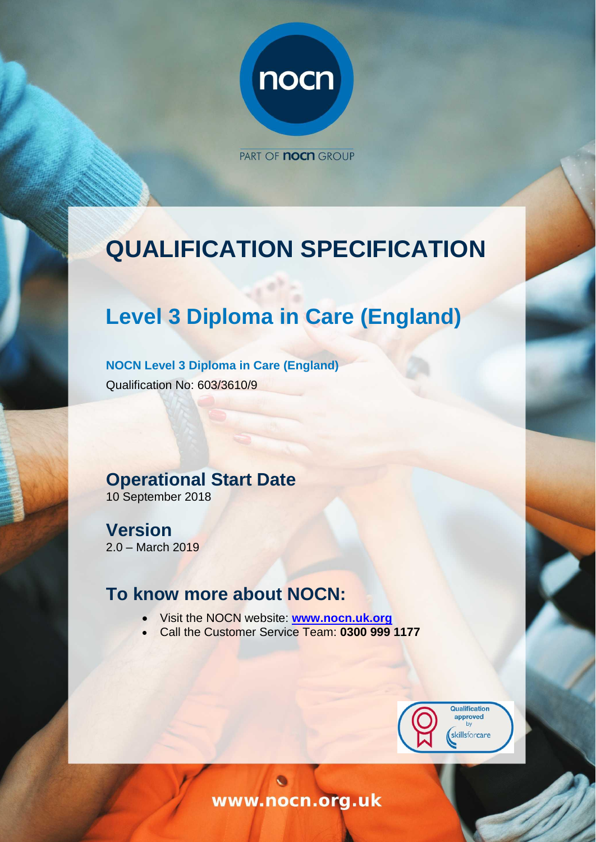

PART OF **noch** GROUP

# <span id="page-0-0"></span>**QUALIFICATION SPECIFICATION**

# **Level 3 Diploma in Care (England)**

**NOCN Level 3 Diploma in Care (England)**  Qualification No: 603/3610/9

# **Operational Start Date**

10 September 2018

**Version** 2.0 – March 2019

# **To know more about NOCN:**

- Visit the NOCN website: **[www.nocn.uk.org](http://www.nocn.uk.org/)**
- Call the Customer Service Team: **0300 999 1177**



www.nocn.org.uk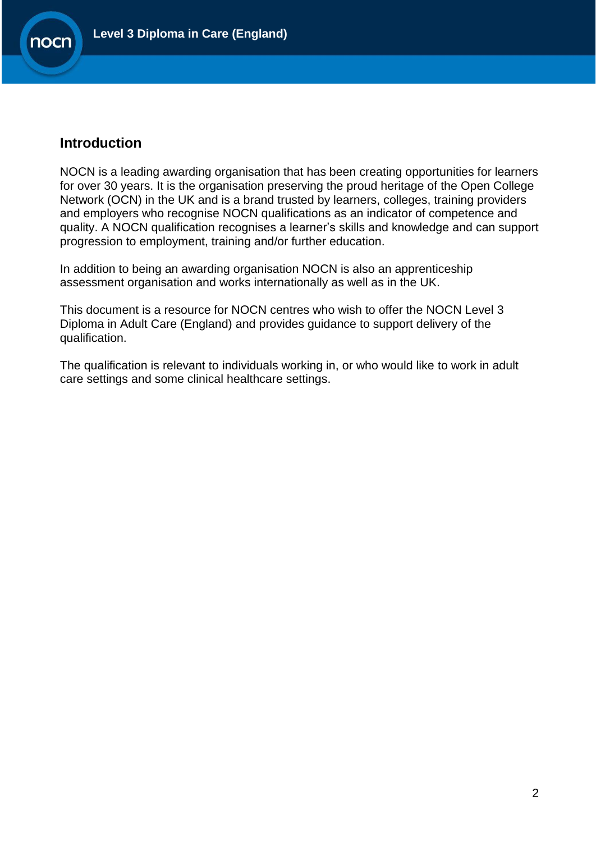

### **Introduction**

NOCN is a leading awarding organisation that has been creating opportunities for learners for over 30 years. It is the organisation preserving the proud heritage of the Open College Network (OCN) in the UK and is a brand trusted by learners, colleges, training providers and employers who recognise NOCN qualifications as an indicator of competence and quality. A NOCN qualification recognises a learner's skills and knowledge and can support progression to employment, training and/or further education.

In addition to being an awarding organisation NOCN is also an apprenticeship assessment organisation and works internationally as well as in the UK.

This document is a resource for NOCN centres who wish to offer the NOCN Level 3 Diploma in Adult Care (England) and provides guidance to support delivery of the qualification.

The qualification is relevant to individuals working in, or who would like to work in adult care settings and some clinical healthcare settings.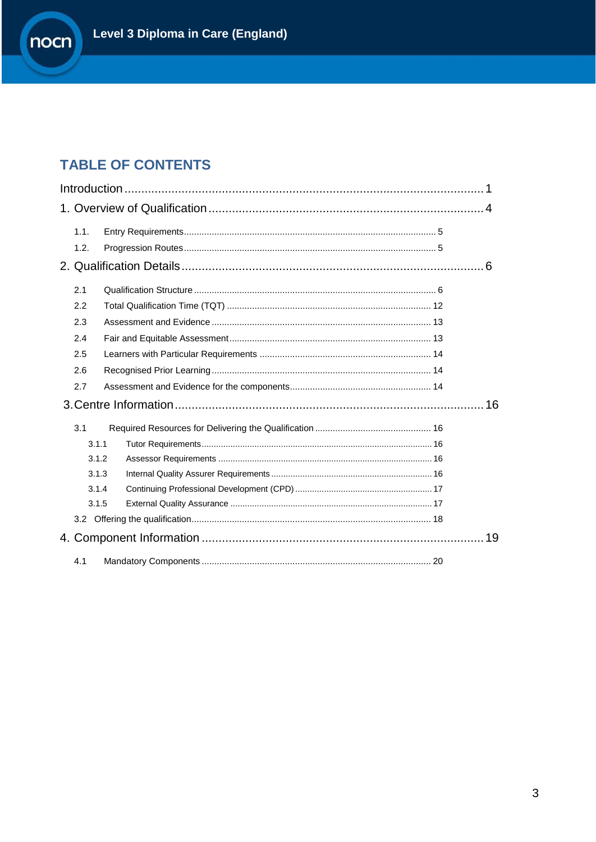# **TABLE OF CONTENTS**

| 1.1.  |    |
|-------|----|
| 1.2.  |    |
|       |    |
| 2.1   |    |
| 2.2   |    |
| 2.3   |    |
| 2.4   |    |
| 2.5   |    |
| 2.6   |    |
| 2.7   |    |
|       |    |
| 3.1   |    |
| 3.1.1 |    |
| 3.1.2 |    |
| 3.1.3 |    |
| 3.1.4 |    |
| 3.1.5 |    |
|       |    |
|       | 19 |
| 4.1   |    |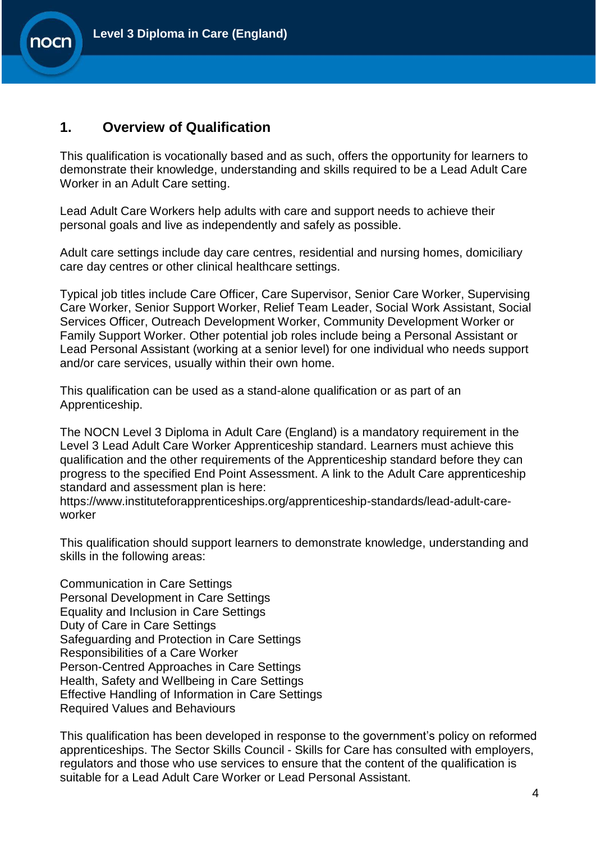

### <span id="page-3-0"></span>**1. Overview of Qualification**

This qualification is vocationally based and as such, offers the opportunity for learners to demonstrate their knowledge, understanding and skills required to be a Lead Adult Care Worker in an Adult Care setting.

Lead Adult Care Workers help adults with care and support needs to achieve their personal goals and live as independently and safely as possible.

Adult care settings include day care centres, residential and nursing homes, domiciliary care day centres or other clinical healthcare settings.

Typical job titles include Care Officer, Care Supervisor, Senior Care Worker, Supervising Care Worker, Senior Support Worker, Relief Team Leader, Social Work Assistant, Social Services Officer, Outreach Development Worker, Community Development Worker or Family Support Worker. Other potential job roles include being a Personal Assistant or Lead Personal Assistant (working at a senior level) for one individual who needs support and/or care services, usually within their own home.

This qualification can be used as a stand-alone qualification or as part of an Apprenticeship.

The NOCN Level 3 Diploma in Adult Care (England) is a mandatory requirement in the Level 3 Lead Adult Care Worker Apprenticeship standard. Learners must achieve this qualification and the other requirements of the Apprenticeship standard before they can progress to the specified End Point Assessment. A link to the Adult Care apprenticeship standard and assessment plan is here:

https://www.instituteforapprenticeships.org/apprenticeship-standards/lead-adult-careworker

This qualification should support learners to demonstrate knowledge, understanding and skills in the following areas:

Communication in Care Settings Personal Development in Care Settings Equality and Inclusion in Care Settings Duty of Care in Care Settings Safeguarding and Protection in Care Settings Responsibilities of a Care Worker Person-Centred Approaches in Care Settings Health, Safety and Wellbeing in Care Settings Effective Handling of Information in Care Settings Required Values and Behaviours

This qualification has been developed in response to the government's policy on reformed apprenticeships. The Sector Skills Council - Skills for Care has consulted with employers, regulators and those who use services to ensure that the content of the qualification is suitable for a Lead Adult Care Worker or Lead Personal Assistant.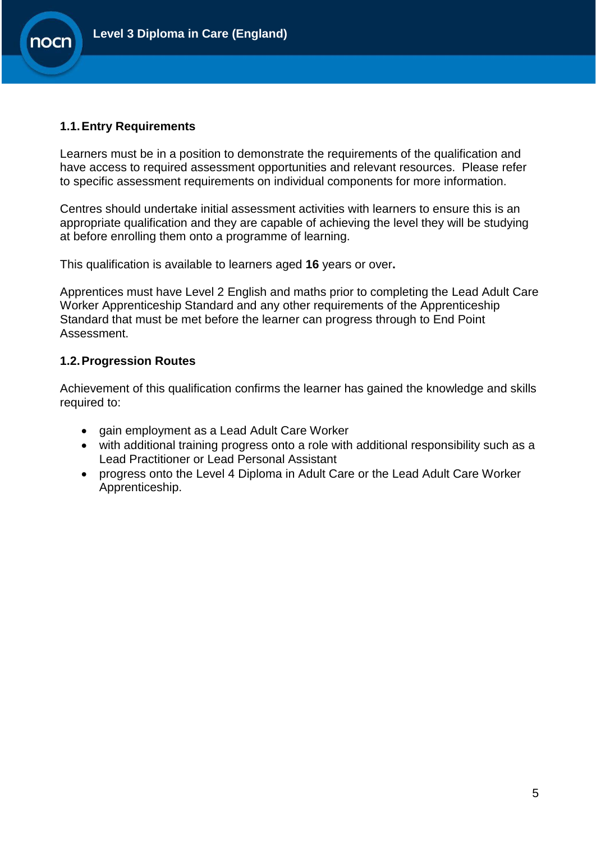

#### <span id="page-4-0"></span>**1.1.Entry Requirements**

**nocr** 

Learners must be in a position to demonstrate the requirements of the qualification and have access to required assessment opportunities and relevant resources. Please refer to specific assessment requirements on individual components for more information.

Centres should undertake initial assessment activities with learners to ensure this is an appropriate qualification and they are capable of achieving the level they will be studying at before enrolling them onto a programme of learning.

This qualification is available to learners aged **16** years or over**.**

Apprentices must have Level 2 English and maths prior to completing the Lead Adult Care Worker Apprenticeship Standard and any other requirements of the Apprenticeship Standard that must be met before the learner can progress through to End Point Assessment.

#### <span id="page-4-1"></span>**1.2.Progression Routes**

Achievement of this qualification confirms the learner has gained the knowledge and skills required to:

- gain employment as a Lead Adult Care Worker
- with additional training progress onto a role with additional responsibility such as a Lead Practitioner or Lead Personal Assistant
- progress onto the Level 4 Diploma in Adult Care or the Lead Adult Care Worker Apprenticeship.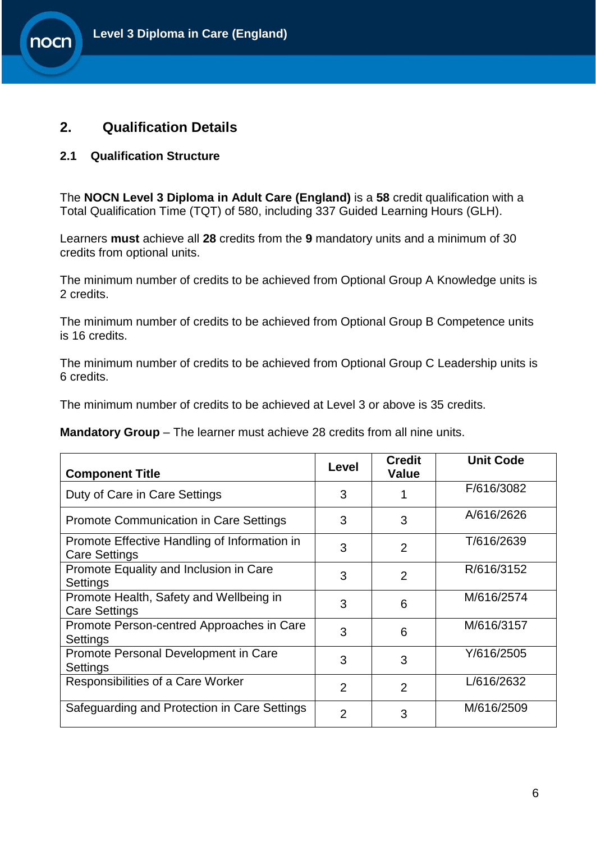# <span id="page-5-0"></span>**2. Qualification Details**

#### <span id="page-5-1"></span>**2.1 Qualification Structure**

**nocr** 

The **NOCN Level 3 Diploma in Adult Care (England)** is a **58** credit qualification with a Total Qualification Time (TQT) of 580, including 337 Guided Learning Hours (GLH).

Learners **must** achieve all **28** credits from the **9** mandatory units and a minimum of 30 credits from optional units.

The minimum number of credits to be achieved from Optional Group A Knowledge units is 2 credits.

The minimum number of credits to be achieved from Optional Group B Competence units is 16 credits.

The minimum number of credits to be achieved from Optional Group C Leadership units is 6 credits.

The minimum number of credits to be achieved at Level 3 or above is 35 credits.

**Mandatory Group** – The learner must achieve 28 credits from all nine units.

| <b>Component Title</b>                                               | Level          | <b>Credit</b><br><b>Value</b> | <b>Unit Code</b> |
|----------------------------------------------------------------------|----------------|-------------------------------|------------------|
| Duty of Care in Care Settings                                        | 3              |                               | F/616/3082       |
| <b>Promote Communication in Care Settings</b>                        | 3              | 3                             | A/616/2626       |
| Promote Effective Handling of Information in<br><b>Care Settings</b> | 3              | $\overline{2}$                | T/616/2639       |
| Promote Equality and Inclusion in Care<br>Settings                   | 3              | $\overline{2}$                | R/616/3152       |
| Promote Health, Safety and Wellbeing in<br><b>Care Settings</b>      | 3              | 6                             | M/616/2574       |
| Promote Person-centred Approaches in Care<br>Settings                | 3              | 6                             | M/616/3157       |
| Promote Personal Development in Care<br>Settings                     | 3              | 3                             | Y/616/2505       |
| Responsibilities of a Care Worker                                    | $\overline{2}$ | $\overline{2}$                | L/616/2632       |
| Safeguarding and Protection in Care Settings                         | $\overline{2}$ | 3                             | M/616/2509       |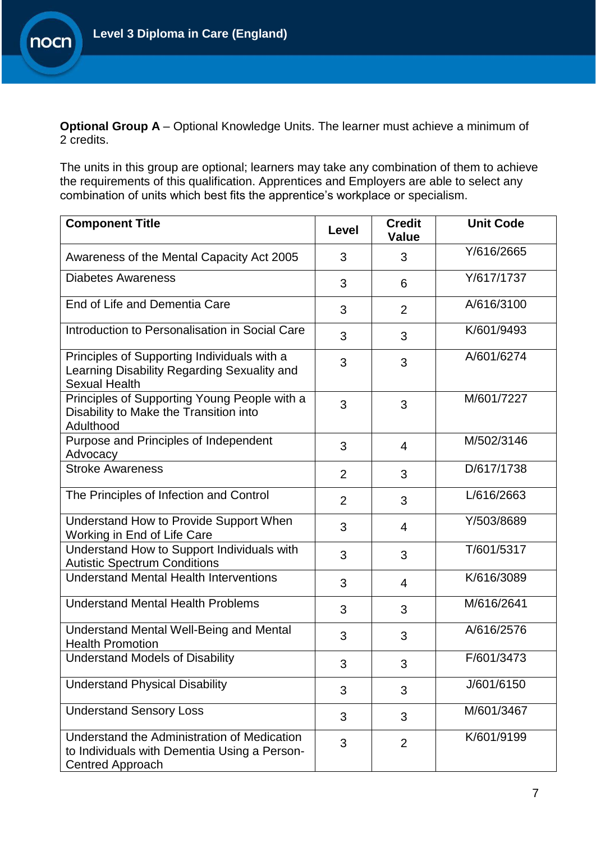

**Optional Group A** – Optional Knowledge Units. The learner must achieve a minimum of 2 credits.

The units in this group are optional; learners may take any combination of them to achieve the requirements of this qualification. Apprentices and Employers are able to select any combination of units which best fits the apprentice's workplace or specialism.

| <b>Component Title</b>                                                                                                 | Level          | <b>Credit</b><br><b>Value</b> | <b>Unit Code</b> |
|------------------------------------------------------------------------------------------------------------------------|----------------|-------------------------------|------------------|
| Awareness of the Mental Capacity Act 2005                                                                              | 3              | 3                             | Y/616/2665       |
| <b>Diabetes Awareness</b>                                                                                              | 3              | 6                             | Y/617/1737       |
| End of Life and Dementia Care                                                                                          | 3              | 2                             | A/616/3100       |
| Introduction to Personalisation in Social Care                                                                         | 3              | 3                             | K/601/9493       |
| Principles of Supporting Individuals with a<br>Learning Disability Regarding Sexuality and<br><b>Sexual Health</b>     | 3              | 3                             | A/601/6274       |
| Principles of Supporting Young People with a<br>Disability to Make the Transition into<br>Adulthood                    | 3              | 3                             | M/601/7227       |
| Purpose and Principles of Independent<br>Advocacy                                                                      | 3              | $\overline{4}$                | M/502/3146       |
| <b>Stroke Awareness</b>                                                                                                | $\overline{2}$ | 3                             | D/617/1738       |
| The Principles of Infection and Control                                                                                | $\overline{2}$ | 3                             | L/616/2663       |
| Understand How to Provide Support When<br>Working in End of Life Care                                                  | 3              | $\overline{4}$                | Y/503/8689       |
| Understand How to Support Individuals with<br><b>Autistic Spectrum Conditions</b>                                      | 3              | 3                             | T/601/5317       |
| <b>Understand Mental Health Interventions</b>                                                                          | 3              | $\overline{4}$                | K/616/3089       |
| <b>Understand Mental Health Problems</b>                                                                               | 3              | 3                             | M/616/2641       |
| <b>Understand Mental Well-Being and Mental</b><br><b>Health Promotion</b>                                              | 3              | 3                             | A/616/2576       |
| <b>Understand Models of Disability</b>                                                                                 | 3              | 3                             | F/601/3473       |
| <b>Understand Physical Disability</b>                                                                                  | 3              | 3                             | J/601/6150       |
| <b>Understand Sensory Loss</b>                                                                                         | 3              | 3                             | M/601/3467       |
| Understand the Administration of Medication<br>to Individuals with Dementia Using a Person-<br><b>Centred Approach</b> | 3              | 2                             | K/601/9199       |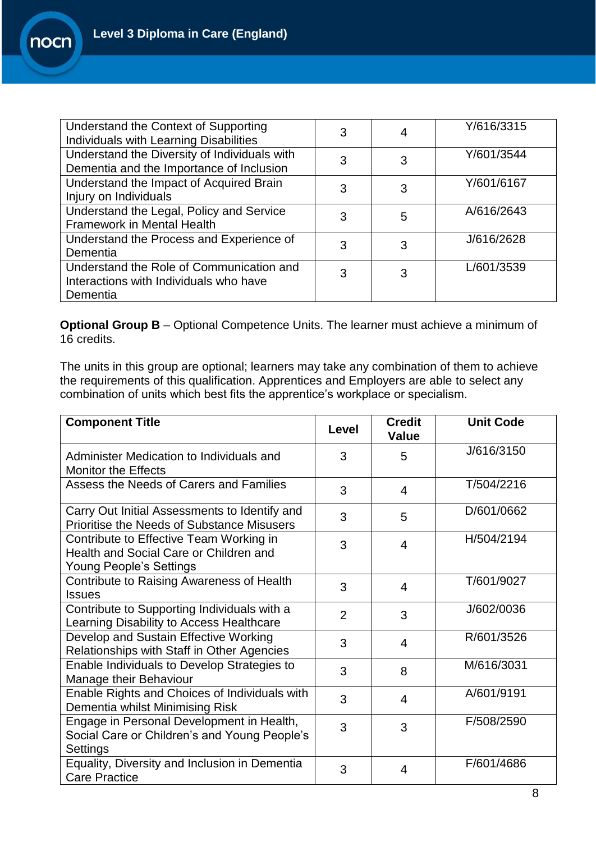| Understand the Context of Supporting<br>Individuals with Learning Disabilities                 | 3 |   | Y/616/3315 |
|------------------------------------------------------------------------------------------------|---|---|------------|
| Understand the Diversity of Individuals with<br>Dementia and the Importance of Inclusion       | 3 | 3 | Y/601/3544 |
| Understand the Impact of Acquired Brain<br>Injury on Individuals                               | 3 | 3 | Y/601/6167 |
| Understand the Legal, Policy and Service<br>Framework in Mental Health                         | 3 | 5 | A/616/2643 |
| Understand the Process and Experience of<br>Dementia                                           | 3 | 3 | J/616/2628 |
| Understand the Role of Communication and<br>Interactions with Individuals who have<br>Dementia | 3 | 3 | L/601/3539 |

**Optional Group B** – Optional Competence Units. The learner must achieve a minimum of 16 credits.

The units in this group are optional; learners may take any combination of them to achieve the requirements of this qualification. Apprentices and Employers are able to select any combination of units which best fits the apprentice's workplace or specialism.

| <b>Component Title</b>                                                                                              | Level | <b>Credit</b><br><b>Value</b> | <b>Unit Code</b> |
|---------------------------------------------------------------------------------------------------------------------|-------|-------------------------------|------------------|
| Administer Medication to Individuals and<br><b>Monitor the Effects</b>                                              | 3     | 5                             | J/616/3150       |
| Assess the Needs of Carers and Families                                                                             | 3     | 4                             | T/504/2216       |
| Carry Out Initial Assessments to Identify and<br><b>Prioritise the Needs of Substance Misusers</b>                  | 3     | 5                             | D/601/0662       |
| Contribute to Effective Team Working in<br>Health and Social Care or Children and<br><b>Young People's Settings</b> | 3     | 4                             | H/504/2194       |
| Contribute to Raising Awareness of Health<br><b>Issues</b>                                                          | 3     | 4                             | T/601/9027       |
| Contribute to Supporting Individuals with a<br>Learning Disability to Access Healthcare                             | 2     | 3                             | J/602/0036       |
| Develop and Sustain Effective Working<br>Relationships with Staff in Other Agencies                                 | 3     | 4                             | R/601/3526       |
| Enable Individuals to Develop Strategies to<br>Manage their Behaviour                                               | 3     | 8                             | M/616/3031       |
| Enable Rights and Choices of Individuals with<br>Dementia whilst Minimising Risk                                    | 3     | 4                             | A/601/9191       |
| Engage in Personal Development in Health,<br>Social Care or Children's and Young People's<br>Settings               | 3     | 3                             | F/508/2590       |
| Equality, Diversity and Inclusion in Dementia<br><b>Care Practice</b>                                               | 3     | 4                             | F/601/4686       |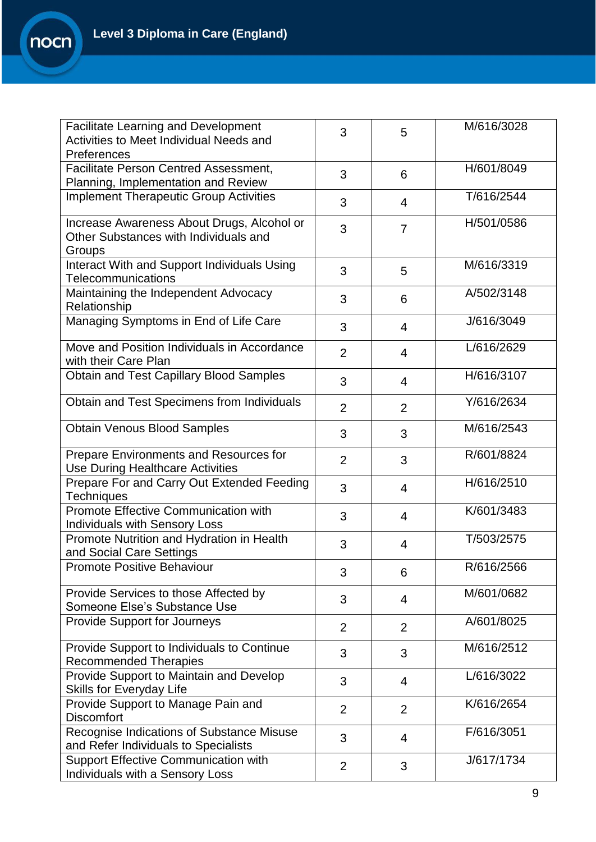| <b>Facilitate Learning and Development</b><br>Activities to Meet Individual Needs and<br>Preferences | 3              | 5              | M/616/3028 |
|------------------------------------------------------------------------------------------------------|----------------|----------------|------------|
| Facilitate Person Centred Assessment,<br>Planning, Implementation and Review                         | 3              | 6              | H/601/8049 |
| <b>Implement Therapeutic Group Activities</b>                                                        | 3              | $\overline{4}$ | T/616/2544 |
| Increase Awareness About Drugs, Alcohol or<br>Other Substances with Individuals and<br>Groups        | 3              | $\overline{7}$ | H/501/0586 |
| Interact With and Support Individuals Using<br>Telecommunications                                    | 3              | 5              | M/616/3319 |
| Maintaining the Independent Advocacy<br>Relationship                                                 | 3              | 6              | A/502/3148 |
| Managing Symptoms in End of Life Care                                                                | 3              | $\overline{4}$ | J/616/3049 |
| Move and Position Individuals in Accordance<br>with their Care Plan                                  | $\overline{2}$ | 4              | L/616/2629 |
| <b>Obtain and Test Capillary Blood Samples</b>                                                       | 3              | $\overline{4}$ | H/616/3107 |
| Obtain and Test Specimens from Individuals                                                           | $\overline{2}$ | $\overline{2}$ | Y/616/2634 |
| <b>Obtain Venous Blood Samples</b>                                                                   | 3              | 3              | M/616/2543 |
| Prepare Environments and Resources for<br>Use During Healthcare Activities                           | $\overline{2}$ | 3              | R/601/8824 |
| Prepare For and Carry Out Extended Feeding<br><b>Techniques</b>                                      | 3              | $\overline{4}$ | H/616/2510 |
| Promote Effective Communication with<br>Individuals with Sensory Loss                                | 3              | $\overline{4}$ | K/601/3483 |
| Promote Nutrition and Hydration in Health<br>and Social Care Settings                                | 3              | 4              | T/503/2575 |
| <b>Promote Positive Behaviour</b>                                                                    | 3              | 6              | R/616/2566 |
| Provide Services to those Affected by<br>Someone Else's Substance Use                                | 3              | $\overline{4}$ | M/601/0682 |
| <b>Provide Support for Journeys</b>                                                                  | $\overline{2}$ | $\overline{2}$ | A/601/8025 |
| Provide Support to Individuals to Continue<br><b>Recommended Therapies</b>                           | 3              | 3              | M/616/2512 |
| Provide Support to Maintain and Develop<br><b>Skills for Everyday Life</b>                           | 3              | 4              | L/616/3022 |
| Provide Support to Manage Pain and<br><b>Discomfort</b>                                              | $\overline{2}$ | $\overline{2}$ | K/616/2654 |
| Recognise Indications of Substance Misuse<br>and Refer Individuals to Specialists                    | 3              | $\overline{4}$ | F/616/3051 |
| Support Effective Communication with<br>Individuals with a Sensory Loss                              | $\overline{2}$ | 3              | J/617/1734 |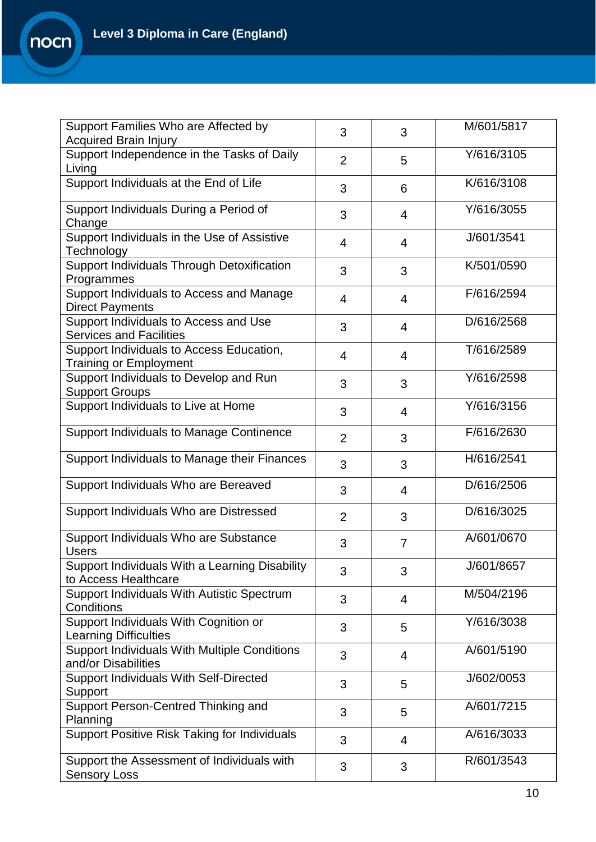| Support Families Who are Affected by<br><b>Acquired Brain Injury</b>      | 3              | 3              | M/601/5817 |
|---------------------------------------------------------------------------|----------------|----------------|------------|
| Support Independence in the Tasks of Daily<br>Living                      | 2              | 5              | Y/616/3105 |
| Support Individuals at the End of Life                                    | 3              | 6              | K/616/3108 |
| Support Individuals During a Period of<br>Change                          | 3              | $\overline{4}$ | Y/616/3055 |
| Support Individuals in the Use of Assistive<br>Technology                 | $\overline{4}$ | $\overline{4}$ | J/601/3541 |
| Support Individuals Through Detoxification<br>Programmes                  | 3              | 3              | K/501/0590 |
| Support Individuals to Access and Manage<br><b>Direct Payments</b>        | $\overline{4}$ | $\overline{4}$ | F/616/2594 |
| Support Individuals to Access and Use<br><b>Services and Facilities</b>   | 3              | $\overline{4}$ | D/616/2568 |
| Support Individuals to Access Education,<br><b>Training or Employment</b> | $\overline{4}$ | $\overline{4}$ | T/616/2589 |
| Support Individuals to Develop and Run<br><b>Support Groups</b>           | 3              | 3              | Y/616/2598 |
| Support Individuals to Live at Home                                       | 3              | $\overline{4}$ | Y/616/3156 |
| <b>Support Individuals to Manage Continence</b>                           | 2              | 3              | F/616/2630 |
| Support Individuals to Manage their Finances                              | 3              | 3              | H/616/2541 |
| Support Individuals Who are Bereaved                                      | 3              | 4              | D/616/2506 |
| Support Individuals Who are Distressed                                    | $\overline{2}$ | 3              | D/616/3025 |
| Support Individuals Who are Substance<br><b>Users</b>                     | 3              | $\overline{7}$ | A/601/0670 |
| Support Individuals With a Learning Disability<br>to Access Healthcare    | 3              | 3              | J/601/8657 |
| Support Individuals With Autistic Spectrum<br>Conditions                  | 3              | $\overline{4}$ | M/504/2196 |
| Support Individuals With Cognition or<br><b>Learning Difficulties</b>     | 3              | 5              | Y/616/3038 |
| Support Individuals With Multiple Conditions<br>and/or Disabilities       | 3              | $\overline{4}$ | A/601/5190 |
| <b>Support Individuals With Self-Directed</b><br>Support                  | 3              | 5              | J/602/0053 |
| Support Person-Centred Thinking and<br>Planning                           | 3              | 5              | A/601/7215 |
| <b>Support Positive Risk Taking for Individuals</b>                       | 3              | 4              | A/616/3033 |
| Support the Assessment of Individuals with<br><b>Sensory Loss</b>         | 3              | 3              | R/601/3543 |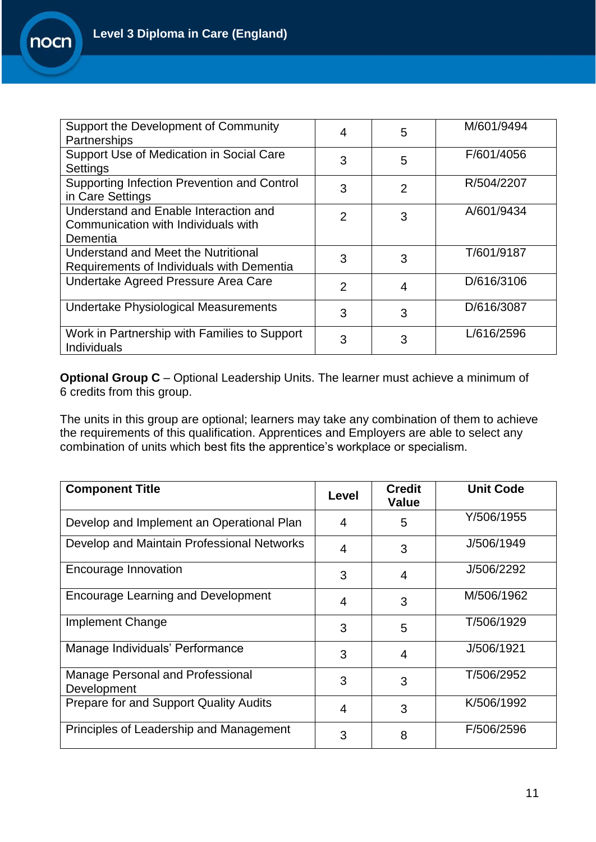| Support the Development of Community<br>Partnerships                                     | 4              | 5              | M/601/9494 |
|------------------------------------------------------------------------------------------|----------------|----------------|------------|
| Support Use of Medication in Social Care<br>Settings                                     | 3              | 5              | F/601/4056 |
| Supporting Infection Prevention and Control<br>in Care Settings                          | 3              | $\overline{2}$ | R/504/2207 |
| Understand and Enable Interaction and<br>Communication with Individuals with<br>Dementia | $\overline{2}$ | 3              | A/601/9434 |
| Understand and Meet the Nutritional<br>Requirements of Individuals with Dementia         | 3              | 3              | T/601/9187 |
| Undertake Agreed Pressure Area Care                                                      | 2              | 4              | D/616/3106 |
| Undertake Physiological Measurements                                                     | 3              | 3              | D/616/3087 |
| Work in Partnership with Families to Support<br>Individuals                              | 3              | 3              | L/616/2596 |

**Optional Group C** – Optional Leadership Units. The learner must achieve a minimum of 6 credits from this group.

The units in this group are optional; learners may take any combination of them to achieve the requirements of this qualification. Apprentices and Employers are able to select any combination of units which best fits the apprentice's workplace or specialism.

| <b>Component Title</b>                          | Level | <b>Credit</b><br><b>Value</b> | <b>Unit Code</b> |
|-------------------------------------------------|-------|-------------------------------|------------------|
| Develop and Implement an Operational Plan       | 4     | 5                             | Y/506/1955       |
| Develop and Maintain Professional Networks      | 4     | 3                             | J/506/1949       |
| Encourage Innovation                            | 3     | 4                             | J/506/2292       |
| <b>Encourage Learning and Development</b>       | 4     | 3                             | M/506/1962       |
| Implement Change                                | 3     | 5                             | T/506/1929       |
| Manage Individuals' Performance                 | 3     | 4                             | J/506/1921       |
| Manage Personal and Professional<br>Development | 3     | 3                             | T/506/2952       |
| Prepare for and Support Quality Audits          | 4     | 3                             | K/506/1992       |
| Principles of Leadership and Management         | 3     | 8                             | F/506/2596       |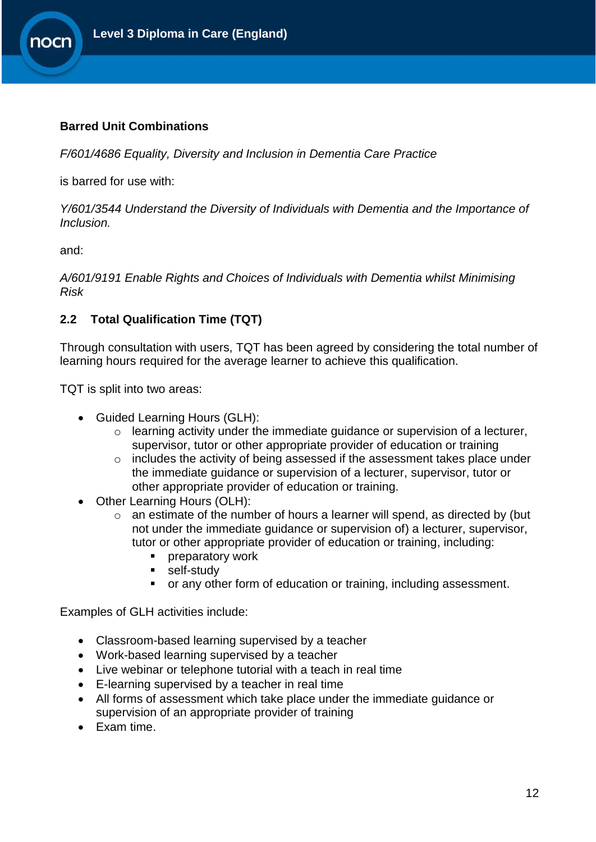

#### **Barred Unit Combinations**

*F/601/4686 Equality, Diversity and Inclusion in Dementia Care Practice*

is barred for use with:

*Y/601/3544 Understand the Diversity of Individuals with Dementia and the Importance of Inclusion.* 

and:

*A/601/9191 Enable Rights and Choices of Individuals with Dementia whilst Minimising Risk* 

### <span id="page-11-0"></span>**2.2 Total Qualification Time (TQT)**

Through consultation with users, TQT has been agreed by considering the total number of learning hours required for the average learner to achieve this qualification.

TQT is split into two areas:

- Guided Learning Hours (GLH):
	- o learning activity under the immediate guidance or supervision of a lecturer, supervisor, tutor or other appropriate provider of education or training
	- o includes the activity of being assessed if the assessment takes place under the immediate guidance or supervision of a lecturer, supervisor, tutor or other appropriate provider of education or training.
- Other Learning Hours (OLH):
	- o an estimate of the number of hours a learner will spend, as directed by (but not under the immediate guidance or supervision of) a lecturer, supervisor, tutor or other appropriate provider of education or training, including:
		- preparatory work
		- **self-study**
		- or any other form of education or training, including assessment.

Examples of GLH activities include:

- Classroom-based learning supervised by a teacher
- Work-based learning supervised by a teacher
- Live webinar or telephone tutorial with a teach in real time
- E-learning supervised by a teacher in real time
- All forms of assessment which take place under the immediate guidance or supervision of an appropriate provider of training
- Exam time.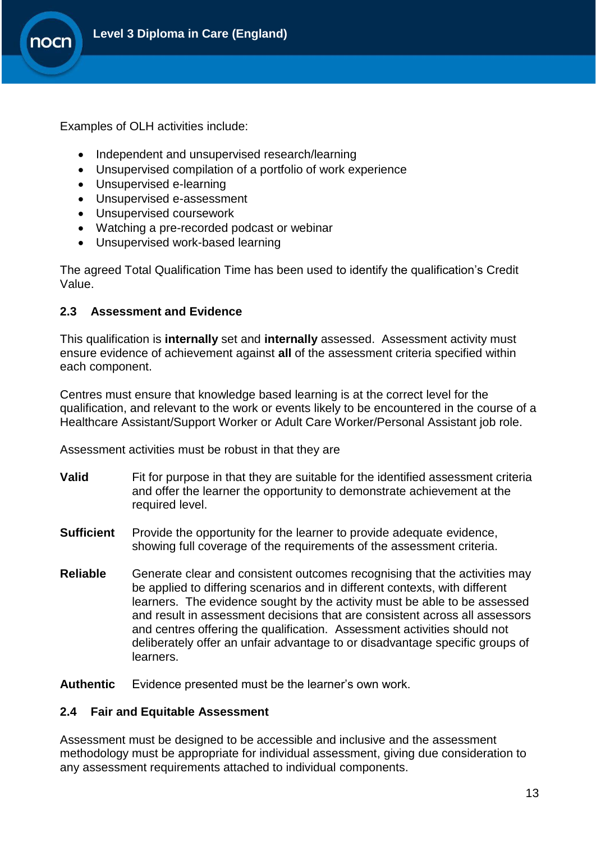

Examples of OLH activities include:

- Independent and unsupervised research/learning
- Unsupervised compilation of a portfolio of work experience
- Unsupervised e-learning
- Unsupervised e-assessment
- Unsupervised coursework
- Watching a pre-recorded podcast or webinar
- Unsupervised work-based learning

The agreed Total Qualification Time has been used to identify the qualification's Credit Value.

#### <span id="page-12-0"></span>**2.3 Assessment and Evidence**

This qualification is **internally** set and **internally** assessed. Assessment activity must ensure evidence of achievement against **all** of the assessment criteria specified within each component.

Centres must ensure that knowledge based learning is at the correct level for the qualification, and relevant to the work or events likely to be encountered in the course of a Healthcare Assistant/Support Worker or Adult Care Worker/Personal Assistant job role.

Assessment activities must be robust in that they are

- **Valid** Fit for purpose in that they are suitable for the identified assessment criteria and offer the learner the opportunity to demonstrate achievement at the required level.
- **Sufficient** Provide the opportunity for the learner to provide adequate evidence, showing full coverage of the requirements of the assessment criteria.
- **Reliable** Generate clear and consistent outcomes recognising that the activities may be applied to differing scenarios and in different contexts, with different learners. The evidence sought by the activity must be able to be assessed and result in assessment decisions that are consistent across all assessors and centres offering the qualification. Assessment activities should not deliberately offer an unfair advantage to or disadvantage specific groups of learners.

**Authentic** Evidence presented must be the learner's own work.

#### <span id="page-12-1"></span>**2.4 Fair and Equitable Assessment**

Assessment must be designed to be accessible and inclusive and the assessment methodology must be appropriate for individual assessment, giving due consideration to any assessment requirements attached to individual components.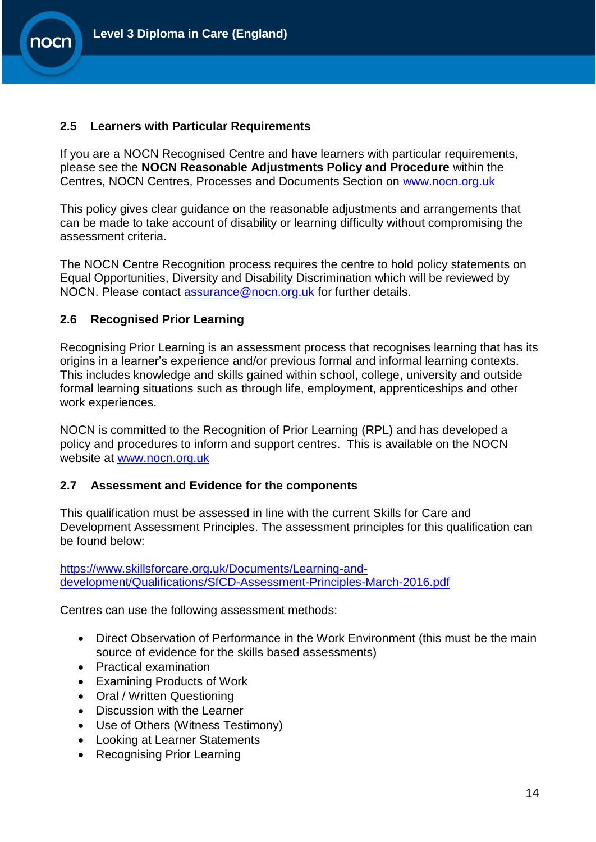#### <span id="page-13-0"></span>**2.5 Learners with Particular Requirements**

If you are a NOCN Recognised Centre and have learners with particular requirements, please see the **NOCN Reasonable Adjustments Policy and Procedure** within the Centres, NOCN Centres, Processes and Documents Section on [www.nocn.org.uk](http://www.nocn.org.uk/)

This policy gives clear guidance on the reasonable adjustments and arrangements that can be made to take account of disability or learning difficulty without compromising the assessment criteria.

The NOCN Centre Recognition process requires the centre to hold policy statements on Equal Opportunities, Diversity and Disability Discrimination which will be reviewed by NOCN. Please contact [assurance@nocn.org.uk](mailto:assurance@nocn.org.uk) for further details.

#### <span id="page-13-1"></span>**2.6 Recognised Prior Learning**

Recognising Prior Learning is an assessment process that recognises learning that has its origins in a learner's experience and/or previous formal and informal learning contexts. This includes knowledge and skills gained within school, college, university and outside formal learning situations such as through life, employment, apprenticeships and other work experiences.

NOCN is committed to the Recognition of Prior Learning (RPL) and has developed a policy and procedures to inform and support centres. This is available on the NOCN website at [www.nocn.org.uk](http://www.nocn.org.uk/)

#### <span id="page-13-2"></span>**2.7 Assessment and Evidence for the components**

<span id="page-13-3"></span>This qualification must be assessed in line with the current Skills for Care and Development Assessment Principles. The assessment principles for this qualification can be found below:

[https://www.skillsforcare.org.uk/Documents/Learning-and](https://www.skillsforcare.org.uk/Documents/Learning-and-development/Qualifications/SfCD-Assessment-Principles-March-2016.pdf)[development/Qualifications/SfCD-Assessment-Principles-March-2016.pdf](https://www.skillsforcare.org.uk/Documents/Learning-and-development/Qualifications/SfCD-Assessment-Principles-March-2016.pdf)

Centres can use the following assessment methods:

- Direct Observation of Performance in the Work Environment (this must be the main source of evidence for the skills based assessments)
- Practical examination
- Examining Products of Work
- Oral / Written Questioning
- Discussion with the Learner
- Use of Others (Witness Testimony)
- Looking at Learner Statements
- Recognising Prior Learning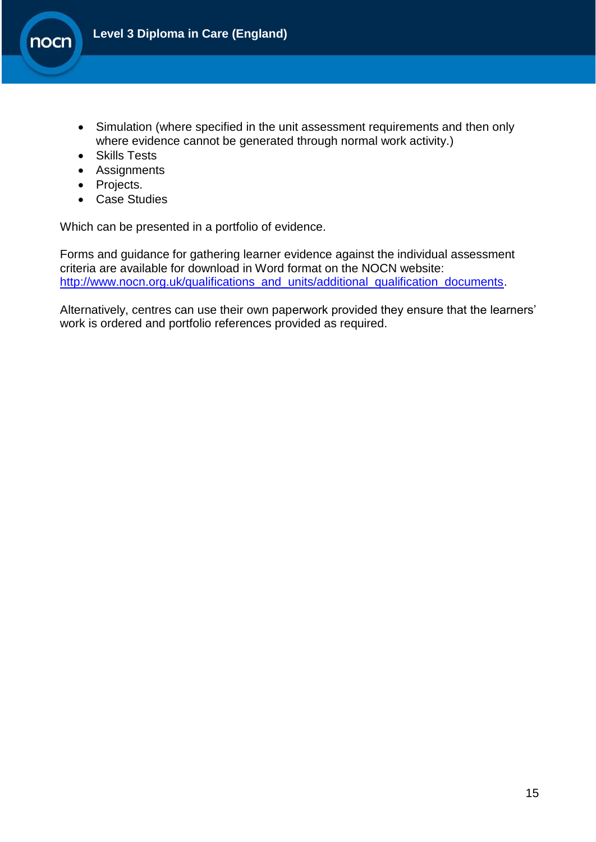

- Simulation (where specified in the unit assessment requirements and then only where evidence cannot be generated through normal work activity.)
- Skills Tests
- Assignments
- Projects.
- Case Studies

Which can be presented in a portfolio of evidence.

Forms and guidance for gathering learner evidence against the individual assessment criteria are available for download in Word format on the NOCN website: [http://www.nocn.org.uk/qualifications\\_and\\_units/additional\\_qualification\\_documents.](http://www.nocn.org.uk/qualifications_and_units/additional_qualification_documents)

Alternatively, centres can use their own paperwork provided they ensure that the learners' work is ordered and portfolio references provided as required.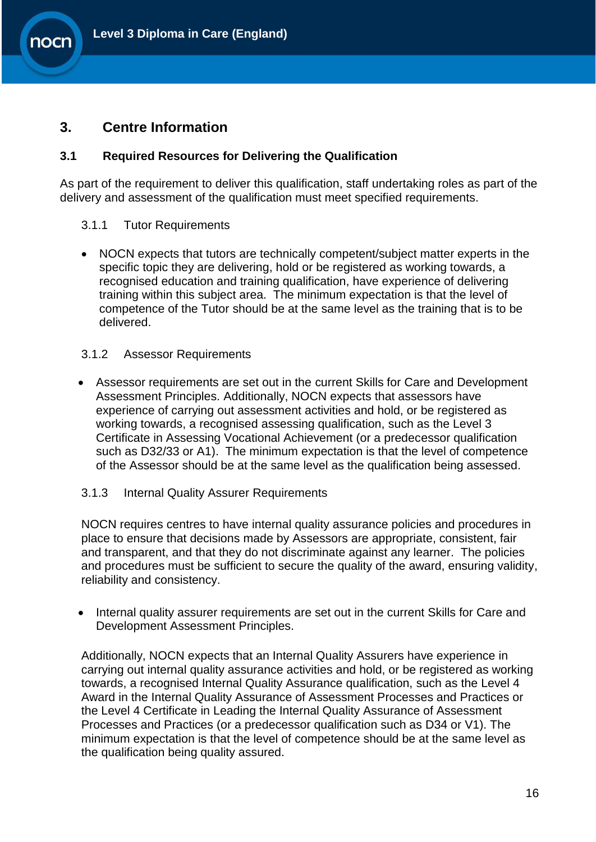

## **3. Centre Information**

**nocn** 

#### <span id="page-15-0"></span>**3.1 Required Resources for Delivering the Qualification**

As part of the requirement to deliver this qualification, staff undertaking roles as part of the delivery and assessment of the qualification must meet specified requirements.

- <span id="page-15-1"></span>3.1.1 Tutor Requirements
- NOCN expects that tutors are technically competent/subject matter experts in the specific topic they are delivering, hold or be registered as working towards, a recognised education and training qualification, have experience of delivering training within this subject area. The minimum expectation is that the level of competence of the Tutor should be at the same level as the training that is to be delivered.

#### <span id="page-15-2"></span>3.1.2 Assessor Requirements

- Assessor requirements are set out in the current Skills for Care and Development Assessment Principles. Additionally, NOCN expects that assessors have experience of carrying out assessment activities and hold, or be registered as working towards, a recognised assessing qualification, such as the Level 3 Certificate in Assessing Vocational Achievement (or a predecessor qualification such as D32/33 or A1). The minimum expectation is that the level of competence of the Assessor should be at the same level as the qualification being assessed.
- <span id="page-15-3"></span>3.1.3 Internal Quality Assurer Requirements

NOCN requires centres to have internal quality assurance policies and procedures in place to ensure that decisions made by Assessors are appropriate, consistent, fair and transparent, and that they do not discriminate against any learner. The policies and procedures must be sufficient to secure the quality of the award, ensuring validity, reliability and consistency.

• Internal quality assurer requirements are set out in the current Skills for Care and Development Assessment Principles.

Additionally, NOCN expects that an Internal Quality Assurers have experience in carrying out internal quality assurance activities and hold, or be registered as working towards, a recognised Internal Quality Assurance qualification, such as the Level 4 Award in the Internal Quality Assurance of Assessment Processes and Practices or the Level 4 Certificate in Leading the Internal Quality Assurance of Assessment Processes and Practices (or a predecessor qualification such as D34 or V1). The minimum expectation is that the level of competence should be at the same level as the qualification being quality assured.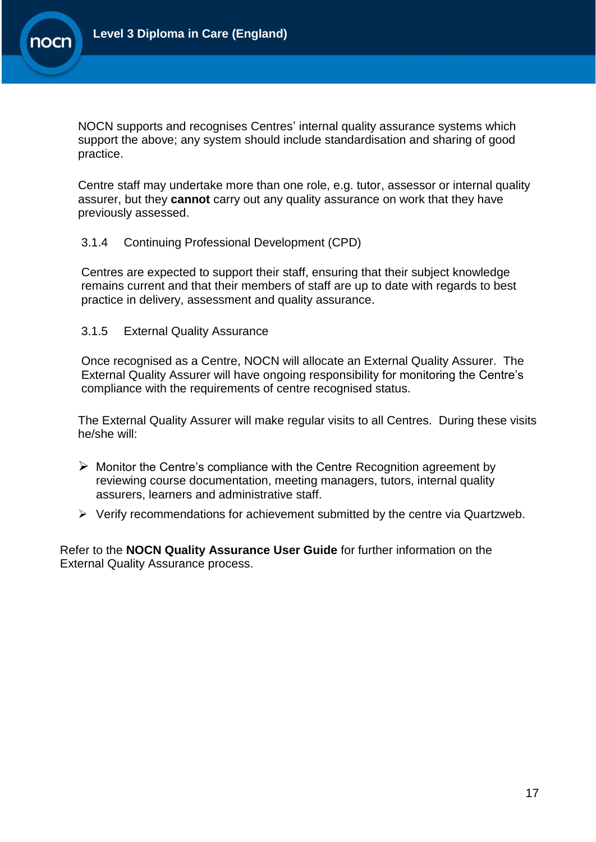

NOCN supports and recognises Centres' internal quality assurance systems which support the above; any system should include standardisation and sharing of good practice.

Centre staff may undertake more than one role, e.g. tutor, assessor or internal quality assurer, but they **cannot** carry out any quality assurance on work that they have previously assessed.

#### <span id="page-16-0"></span>3.1.4 Continuing Professional Development (CPD)

Centres are expected to support their staff, ensuring that their subject knowledge remains current and that their members of staff are up to date with regards to best practice in delivery, assessment and quality assurance.

#### <span id="page-16-1"></span>3.1.5 External Quality Assurance

Once recognised as a Centre, NOCN will allocate an External Quality Assurer. The External Quality Assurer will have ongoing responsibility for monitoring the Centre's compliance with the requirements of centre recognised status.

The External Quality Assurer will make regular visits to all Centres. During these visits he/she will:

- $\triangleright$  Monitor the Centre's compliance with the Centre Recognition agreement by reviewing course documentation, meeting managers, tutors, internal quality assurers, learners and administrative staff.
- $\triangleright$  Verify recommendations for achievement submitted by the centre via Quartzweb.

Refer to the **NOCN Quality Assurance User Guide** for further information on the External Quality Assurance process.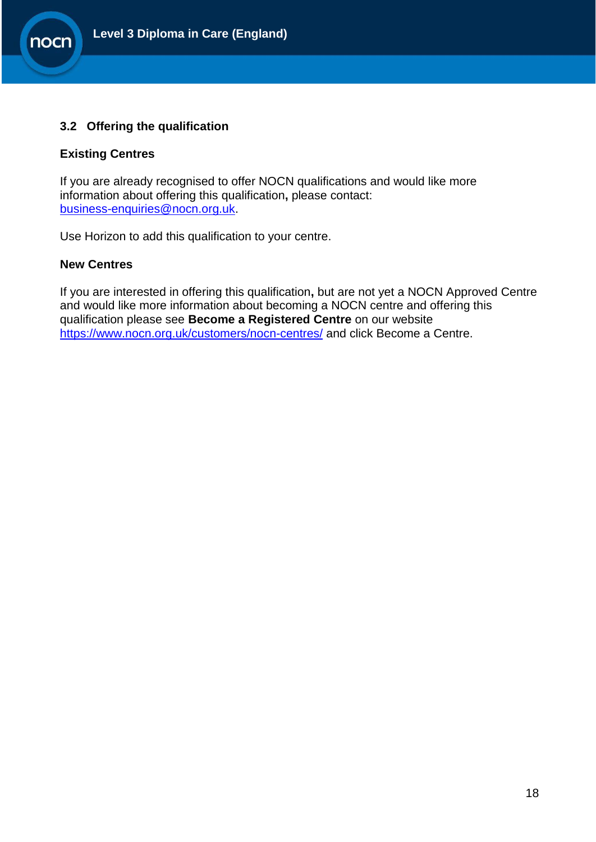

#### <span id="page-17-0"></span>**3.2 Offering the qualification**

#### **Existing Centres**

nocn

If you are already recognised to offer NOCN qualifications and would like more information about offering this qualification**,** please contact: [business-enquiries@nocn.org.uk.](mailto:business-enquiries@nocn.org.uk)

Use Horizon to add this qualification to your centre.

#### **New Centres**

If you are interested in offering this qualification**,** but are not yet a NOCN Approved Centre and would like more information about becoming a NOCN centre and offering this qualification please see **Become a Registered Centre** on our website <https://www.nocn.org.uk/customers/nocn-centres/> and click Become a Centre.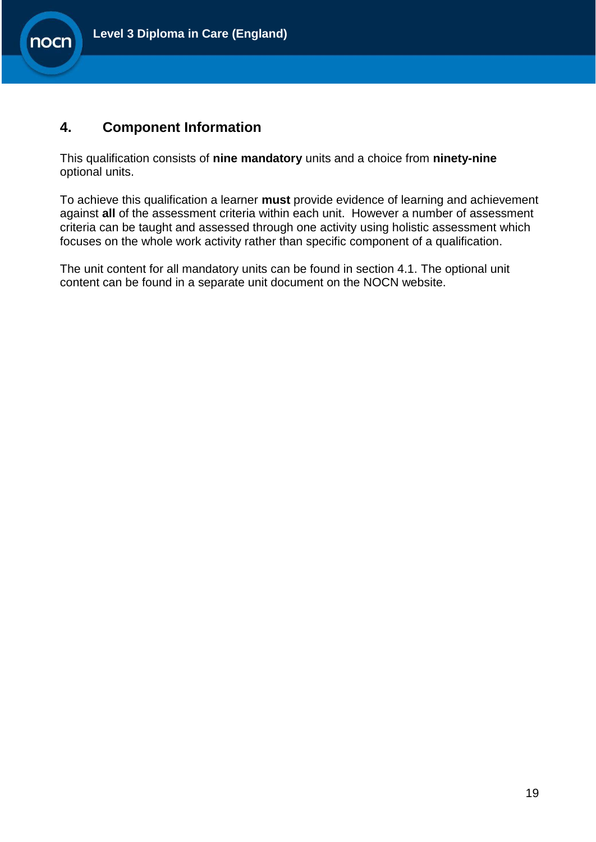

## <span id="page-18-0"></span>**4. Component Information**

nocn

This qualification consists of **nine mandatory** units and a choice from **ninety-nine** optional units.

To achieve this qualification a learner **must** provide evidence of learning and achievement against **all** of the assessment criteria within each unit. However a number of assessment criteria can be taught and assessed through one activity using holistic assessment which focuses on the whole work activity rather than specific component of a qualification.

The unit content for all mandatory units can be found in section 4.1. The optional unit content can be found in a separate unit document on the NOCN website.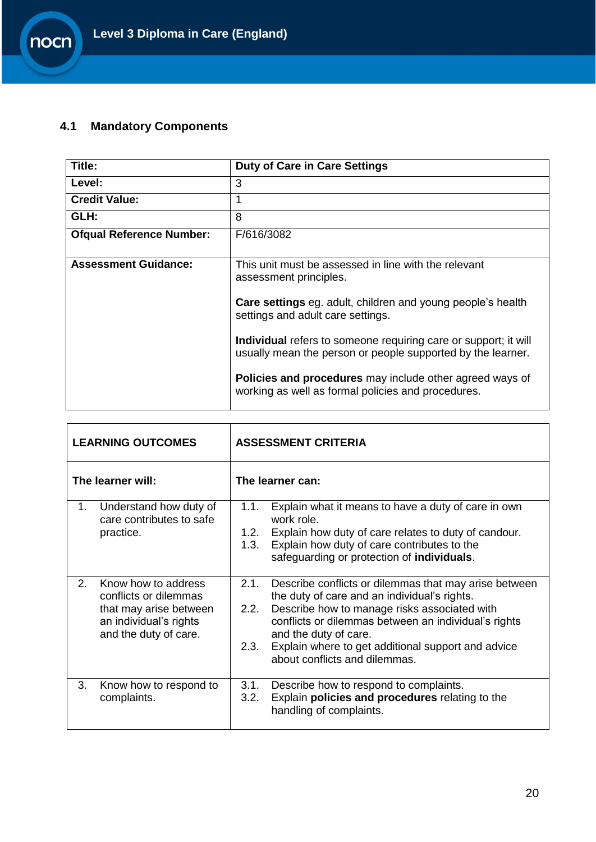# <span id="page-19-0"></span>**4.1 Mandatory Components**

nocn

| Title:                          | <b>Duty of Care in Care Settings</b>                                                                                           |
|---------------------------------|--------------------------------------------------------------------------------------------------------------------------------|
| Level:                          | 3                                                                                                                              |
| <b>Credit Value:</b>            | 1                                                                                                                              |
| GLH:                            | 8                                                                                                                              |
| <b>Ofqual Reference Number:</b> | F/616/3082                                                                                                                     |
| <b>Assessment Guidance:</b>     | This unit must be assessed in line with the relevant<br>assessment principles.                                                 |
|                                 | <b>Care settings</b> eg. adult, children and young people's health<br>settings and adult care settings.                        |
|                                 | Individual refers to someone requiring care or support; it will<br>usually mean the person or people supported by the learner. |
|                                 | <b>Policies and procedures</b> may include other agreed ways of<br>working as well as formal policies and procedures.          |

|                   | <b>LEARNING OUTCOMES</b>                                                                                                  | <b>ASSESSMENT CRITERIA</b>                                                                                                                                                                                                                                                                                                                            |  |  |  |
|-------------------|---------------------------------------------------------------------------------------------------------------------------|-------------------------------------------------------------------------------------------------------------------------------------------------------------------------------------------------------------------------------------------------------------------------------------------------------------------------------------------------------|--|--|--|
| The learner will: |                                                                                                                           | The learner can:                                                                                                                                                                                                                                                                                                                                      |  |  |  |
| 1.                | Understand how duty of<br>care contributes to safe<br>practice.                                                           | Explain what it means to have a duty of care in own<br>1.1.<br>work role.<br>Explain how duty of care relates to duty of candour.<br>1.2.<br>Explain how duty of care contributes to the<br>1.3.<br>safeguarding or protection of individuals.                                                                                                        |  |  |  |
| 2.                | Know how to address<br>conflicts or dilemmas<br>that may arise between<br>an individual's rights<br>and the duty of care. | 2.1.<br>Describe conflicts or dilemmas that may arise between<br>the duty of care and an individual's rights.<br>Describe how to manage risks associated with<br>2.2.<br>conflicts or dilemmas between an individual's rights<br>and the duty of care.<br>Explain where to get additional support and advice<br>2.3.<br>about conflicts and dilemmas. |  |  |  |
| 3.                | Know how to respond to<br>complaints.                                                                                     | Describe how to respond to complaints.<br>3.1.<br>Explain policies and procedures relating to the<br>3.2.<br>handling of complaints.                                                                                                                                                                                                                  |  |  |  |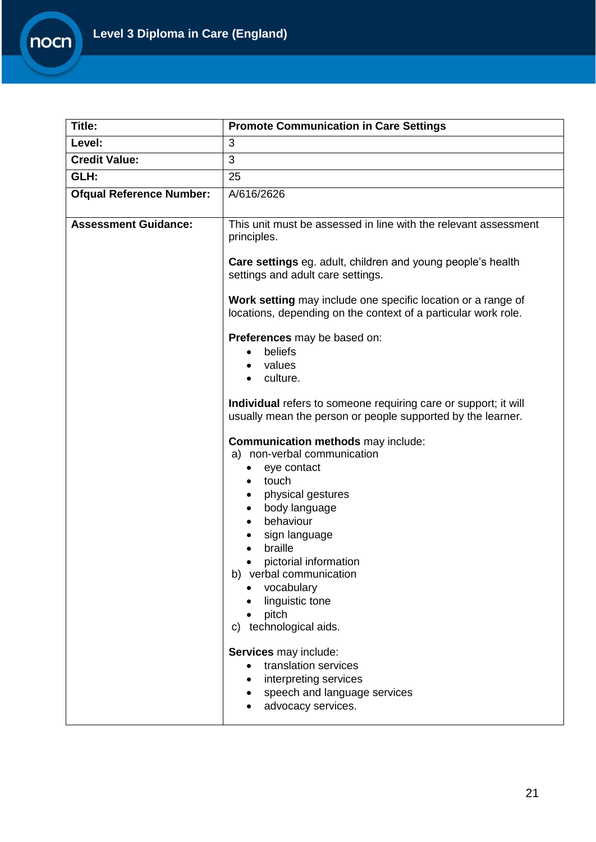

| Title:                          | <b>Promote Communication in Care Settings</b>                                                                                  |
|---------------------------------|--------------------------------------------------------------------------------------------------------------------------------|
| Level:                          | 3                                                                                                                              |
| <b>Credit Value:</b>            | 3                                                                                                                              |
| GLH:                            | 25                                                                                                                             |
| <b>Ofqual Reference Number:</b> | A/616/2626                                                                                                                     |
| <b>Assessment Guidance:</b>     | This unit must be assessed in line with the relevant assessment<br>principles.                                                 |
|                                 | Care settings eg. adult, children and young people's health<br>settings and adult care settings.                               |
|                                 | Work setting may include one specific location or a range of<br>locations, depending on the context of a particular work role. |
|                                 | Preferences may be based on:                                                                                                   |
|                                 | beliefs                                                                                                                        |
|                                 | values                                                                                                                         |
|                                 | culture.<br>$\bullet$                                                                                                          |
|                                 | Individual refers to someone requiring care or support; it will<br>usually mean the person or people supported by the learner. |
|                                 | Communication methods may include:                                                                                             |
|                                 | a) non-verbal communication                                                                                                    |
|                                 | eye contact                                                                                                                    |
|                                 | touch<br>physical gestures                                                                                                     |
|                                 | body language                                                                                                                  |
|                                 | behaviour                                                                                                                      |
|                                 | sign language                                                                                                                  |
|                                 | braille                                                                                                                        |
|                                 | pictorial information<br>b) verbal communication                                                                               |
|                                 | vocabulary                                                                                                                     |
|                                 | linguistic tone                                                                                                                |
|                                 | pitch                                                                                                                          |
|                                 | c) technological aids.                                                                                                         |
|                                 | Services may include:                                                                                                          |
|                                 | translation services                                                                                                           |
|                                 | interpreting services                                                                                                          |
|                                 | speech and language services                                                                                                   |
|                                 | advocacy services.                                                                                                             |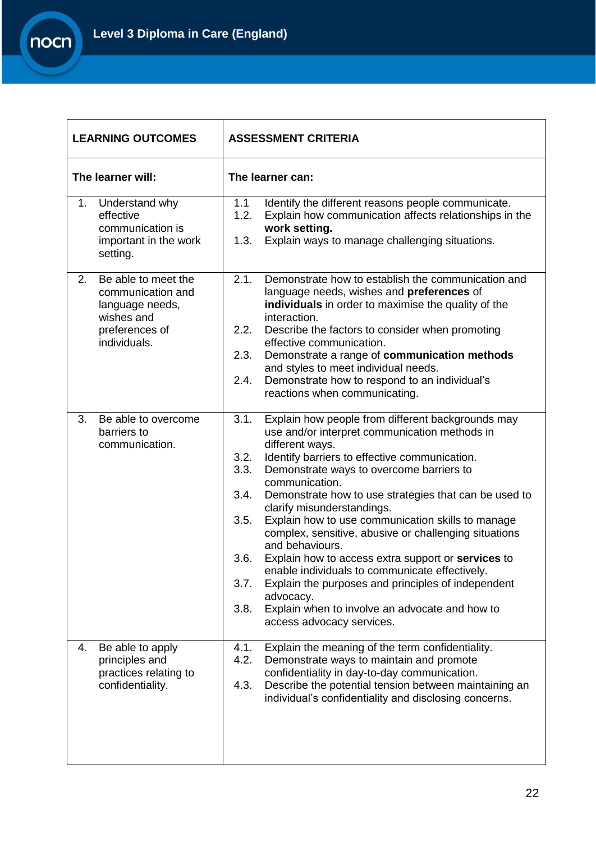

| <b>LEARNING OUTCOMES</b>                                                                                          | <b>ASSESSMENT CRITERIA</b>                                                                                                                                                                                                                                                                                                                                                                                                                                                                                                                                                                                                                                                                                                                                                             |  |  |
|-------------------------------------------------------------------------------------------------------------------|----------------------------------------------------------------------------------------------------------------------------------------------------------------------------------------------------------------------------------------------------------------------------------------------------------------------------------------------------------------------------------------------------------------------------------------------------------------------------------------------------------------------------------------------------------------------------------------------------------------------------------------------------------------------------------------------------------------------------------------------------------------------------------------|--|--|
| The learner will:                                                                                                 | The learner can:                                                                                                                                                                                                                                                                                                                                                                                                                                                                                                                                                                                                                                                                                                                                                                       |  |  |
| 1.<br>Understand why<br>effective<br>communication is<br>important in the work<br>setting.                        | 1.1<br>Identify the different reasons people communicate.<br>Explain how communication affects relationships in the<br>1.2.<br>work setting.<br>1.3.<br>Explain ways to manage challenging situations.                                                                                                                                                                                                                                                                                                                                                                                                                                                                                                                                                                                 |  |  |
| 2.<br>Be able to meet the<br>communication and<br>language needs,<br>wishes and<br>preferences of<br>individuals. | 2.1.<br>Demonstrate how to establish the communication and<br>language needs, wishes and preferences of<br>individuals in order to maximise the quality of the<br>interaction.<br>2.2.<br>Describe the factors to consider when promoting<br>effective communication.<br>Demonstrate a range of communication methods<br>2.3.<br>and styles to meet individual needs.<br>Demonstrate how to respond to an individual's<br>2.4.<br>reactions when communicating.                                                                                                                                                                                                                                                                                                                        |  |  |
| 3.<br>Be able to overcome<br>barriers to<br>communication.                                                        | Explain how people from different backgrounds may<br>3.1.<br>use and/or interpret communication methods in<br>different ways.<br>Identify barriers to effective communication.<br>3.2.<br>3.3.<br>Demonstrate ways to overcome barriers to<br>communication.<br>3.4.<br>Demonstrate how to use strategies that can be used to<br>clarify misunderstandings.<br>Explain how to use communication skills to manage<br>3.5.<br>complex, sensitive, abusive or challenging situations<br>and behaviours.<br>Explain how to access extra support or services to<br>3.6.<br>enable individuals to communicate effectively.<br>Explain the purposes and principles of independent<br>3.7.<br>advocacy.<br>Explain when to involve an advocate and how to<br>3.8.<br>access advocacy services. |  |  |
| Be able to apply<br>4.<br>principles and<br>practices relating to<br>confidentiality.                             | Explain the meaning of the term confidentiality.<br>4.1.<br>4.2.<br>Demonstrate ways to maintain and promote<br>confidentiality in day-to-day communication.<br>Describe the potential tension between maintaining an<br>4.3.<br>individual's confidentiality and disclosing concerns.                                                                                                                                                                                                                                                                                                                                                                                                                                                                                                 |  |  |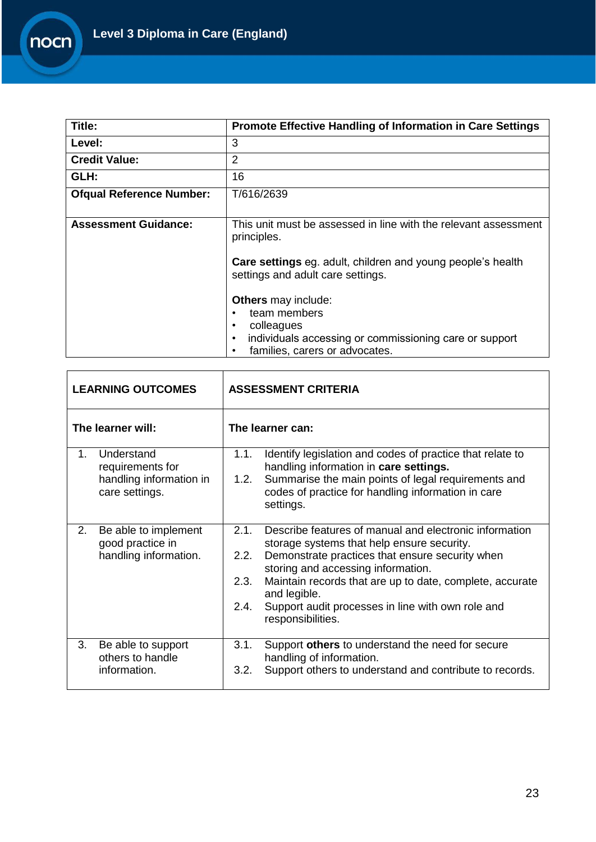

| Title:                          | <b>Promote Effective Handling of Information in Care Settings</b>                                       |
|---------------------------------|---------------------------------------------------------------------------------------------------------|
| Level:                          | 3                                                                                                       |
| <b>Credit Value:</b>            | 2                                                                                                       |
| GLH:                            | 16                                                                                                      |
| <b>Ofqual Reference Number:</b> | T/616/2639                                                                                              |
|                                 |                                                                                                         |
| <b>Assessment Guidance:</b>     | This unit must be assessed in line with the relevant assessment<br>principles.                          |
|                                 | <b>Care settings</b> eg. adult, children and young people's health<br>settings and adult care settings. |
|                                 | <b>Others</b> may include:<br>team members                                                              |
|                                 | colleagues<br>٠                                                                                         |
|                                 | individuals accessing or commissioning care or support<br>$\bullet$                                     |
|                                 | families, carers or advocates.<br>$\bullet$                                                             |

| <b>LEARNING OUTCOMES</b> |                                                                             | <b>ASSESSMENT CRITERIA</b>   |                                                                                                                                                                                                                                                                                                                                                     |  |
|--------------------------|-----------------------------------------------------------------------------|------------------------------|-----------------------------------------------------------------------------------------------------------------------------------------------------------------------------------------------------------------------------------------------------------------------------------------------------------------------------------------------------|--|
| The learner will:        |                                                                             |                              | The learner can:                                                                                                                                                                                                                                                                                                                                    |  |
| $1_{-}$                  | Understand<br>requirements for<br>handling information in<br>care settings. | 1.1.<br>1.2.                 | Identify legislation and codes of practice that relate to<br>handling information in care settings.<br>Summarise the main points of legal requirements and<br>codes of practice for handling information in care<br>settings.                                                                                                                       |  |
| 2.                       | Be able to implement<br>good practice in<br>handling information.           | 2.1.<br>2.2.<br>2.3.<br>2.4. | Describe features of manual and electronic information<br>storage systems that help ensure security.<br>Demonstrate practices that ensure security when<br>storing and accessing information.<br>Maintain records that are up to date, complete, accurate<br>and legible.<br>Support audit processes in line with own role and<br>responsibilities. |  |
| 3.                       | Be able to support<br>others to handle<br>information.                      | 3.1.<br>3.2.                 | Support others to understand the need for secure<br>handling of information.<br>Support others to understand and contribute to records.                                                                                                                                                                                                             |  |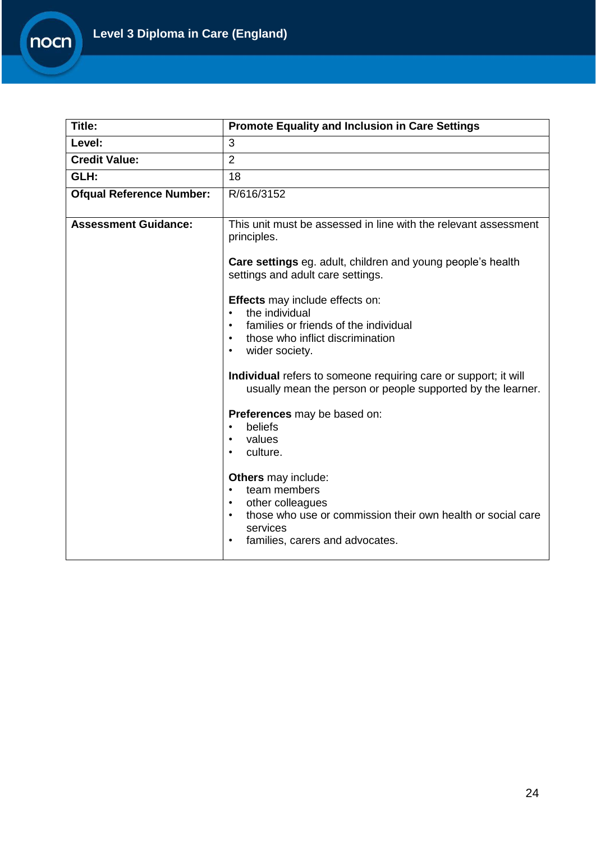

| Title:                          | <b>Promote Equality and Inclusion in Care Settings</b>                                                                                                                                                                                                                                                                                                                                                                                                                     |  |  |
|---------------------------------|----------------------------------------------------------------------------------------------------------------------------------------------------------------------------------------------------------------------------------------------------------------------------------------------------------------------------------------------------------------------------------------------------------------------------------------------------------------------------|--|--|
| Level:                          | 3                                                                                                                                                                                                                                                                                                                                                                                                                                                                          |  |  |
| <b>Credit Value:</b>            | $\overline{2}$                                                                                                                                                                                                                                                                                                                                                                                                                                                             |  |  |
| GLH:                            | 18                                                                                                                                                                                                                                                                                                                                                                                                                                                                         |  |  |
| <b>Ofqual Reference Number:</b> | R/616/3152                                                                                                                                                                                                                                                                                                                                                                                                                                                                 |  |  |
| <b>Assessment Guidance:</b>     | This unit must be assessed in line with the relevant assessment<br>principles.<br>Care settings eg. adult, children and young people's health<br>settings and adult care settings.<br>Effects may include effects on:<br>the individual<br>$\bullet$<br>families or friends of the individual<br>$\bullet$<br>those who inflict discrimination<br>$\bullet$<br>wider society.<br>$\bullet$                                                                                 |  |  |
|                                 | Individual refers to someone requiring care or support; it will<br>usually mean the person or people supported by the learner.<br>Preferences may be based on:<br>beliefs<br>$\bullet$<br>values<br>$\bullet$<br>culture.<br>$\bullet$<br><b>Others</b> may include:<br>team members<br>$\bullet$<br>other colleagues<br>$\bullet$<br>those who use or commission their own health or social care<br>$\bullet$<br>services<br>families, carers and advocates.<br>$\bullet$ |  |  |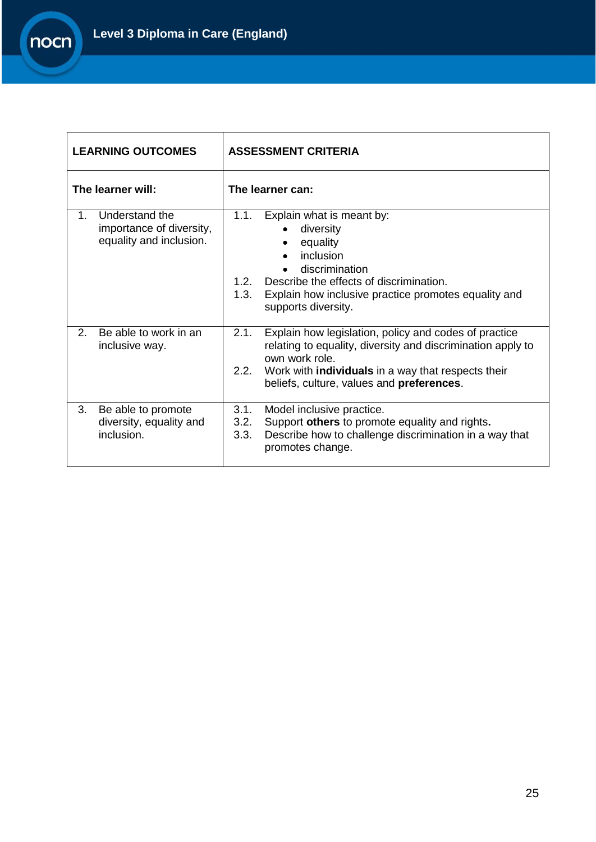

| <b>LEARNING OUTCOMES</b>                                                    | <b>ASSESSMENT CRITERIA</b>                                                                                                                                                                                                                                       |  |  |
|-----------------------------------------------------------------------------|------------------------------------------------------------------------------------------------------------------------------------------------------------------------------------------------------------------------------------------------------------------|--|--|
| The learner will:                                                           | The learner can:                                                                                                                                                                                                                                                 |  |  |
| Understand the<br>1.<br>importance of diversity,<br>equality and inclusion. | 1.1.<br>Explain what is meant by:<br>diversity<br>equality<br>inclusion<br>discrimination<br>Describe the effects of discrimination.<br>1.2.<br>1.3.<br>Explain how inclusive practice promotes equality and<br>supports diversity.                              |  |  |
| Be able to work in an<br>2.<br>inclusive way.                               | 2.1.<br>Explain how legislation, policy and codes of practice<br>relating to equality, diversity and discrimination apply to<br>own work role.<br>Work with <b>individuals</b> in a way that respects their<br>2.2.<br>beliefs, culture, values and preferences. |  |  |
| 3.<br>Be able to promote<br>diversity, equality and<br>inclusion.           | 3.1.<br>Model inclusive practice.<br>Support others to promote equality and rights.<br>3.2.<br>Describe how to challenge discrimination in a way that<br>3.3.<br>promotes change.                                                                                |  |  |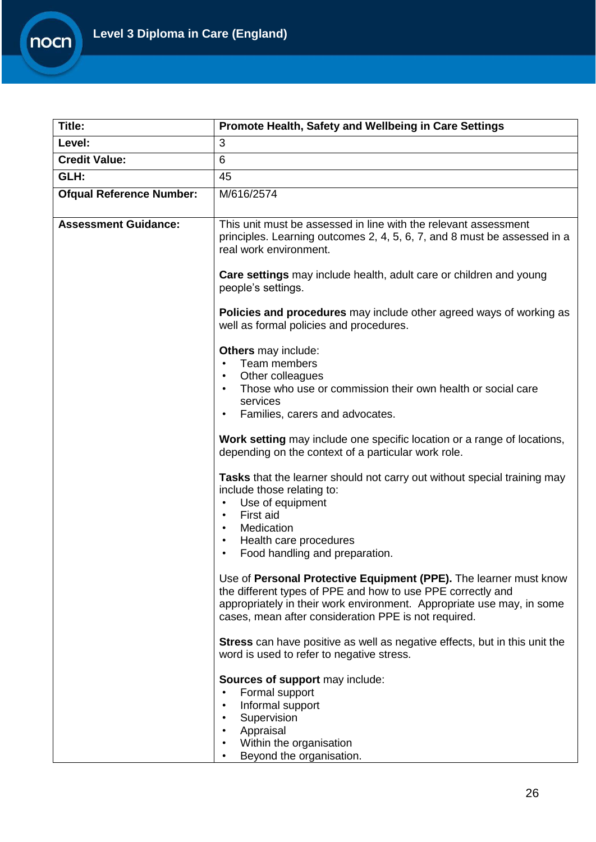

| Title:                          | Promote Health, Safety and Wellbeing in Care Settings                                                                                                                                                                                                                              |  |  |
|---------------------------------|------------------------------------------------------------------------------------------------------------------------------------------------------------------------------------------------------------------------------------------------------------------------------------|--|--|
| Level:                          | 3                                                                                                                                                                                                                                                                                  |  |  |
| <b>Credit Value:</b>            | 6                                                                                                                                                                                                                                                                                  |  |  |
| GLH:                            | 45                                                                                                                                                                                                                                                                                 |  |  |
| <b>Ofqual Reference Number:</b> | M/616/2574                                                                                                                                                                                                                                                                         |  |  |
| <b>Assessment Guidance:</b>     | This unit must be assessed in line with the relevant assessment<br>principles. Learning outcomes 2, 4, 5, 6, 7, and 8 must be assessed in a<br>real work environment.                                                                                                              |  |  |
|                                 | <b>Care settings</b> may include health, adult care or children and young<br>people's settings.                                                                                                                                                                                    |  |  |
|                                 | <b>Policies and procedures</b> may include other agreed ways of working as<br>well as formal policies and procedures.                                                                                                                                                              |  |  |
|                                 | <b>Others</b> may include:<br>Team members<br>$\bullet$<br>Other colleagues<br>$\bullet$<br>Those who use or commission their own health or social care<br>$\bullet$<br>services<br>Families, carers and advocates.<br>$\bullet$                                                   |  |  |
|                                 | Work setting may include one specific location or a range of locations,<br>depending on the context of a particular work role.                                                                                                                                                     |  |  |
|                                 | Tasks that the learner should not carry out without special training may<br>include those relating to:<br>Use of equipment<br>$\bullet$<br>First aid<br>$\bullet$<br>Medication<br>$\bullet$<br>Health care procedures<br>$\bullet$<br>Food handling and preparation.<br>$\bullet$ |  |  |
|                                 | Use of Personal Protective Equipment (PPE). The learner must know<br>the different types of PPE and how to use PPE correctly and<br>appropriately in their work environment. Appropriate use may, in some<br>cases, mean after consideration PPE is not required.                  |  |  |
|                                 | Stress can have positive as well as negative effects, but in this unit the<br>word is used to refer to negative stress.                                                                                                                                                            |  |  |
|                                 | Sources of support may include:<br>Formal support<br>$\bullet$<br>Informal support<br>$\bullet$<br>Supervision<br>Appraisal<br>Within the organisation<br>$\bullet$<br>Beyond the organisation.                                                                                    |  |  |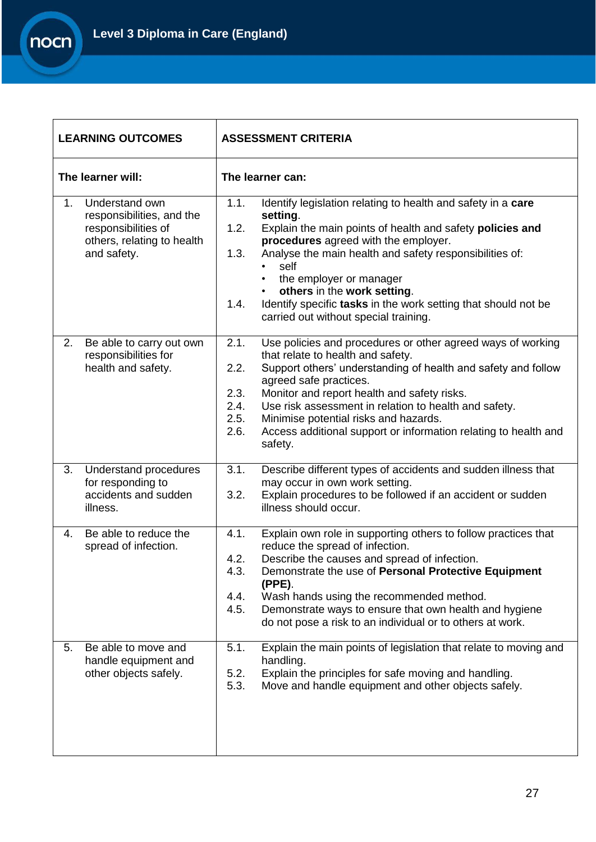

| <b>LEARNING OUTCOMES</b>                                                                                                          |  | <b>ASSESSMENT CRITERIA</b>                   |                                                                                                                                                                                                                                                                                                                                                                                                                                    |  |
|-----------------------------------------------------------------------------------------------------------------------------------|--|----------------------------------------------|------------------------------------------------------------------------------------------------------------------------------------------------------------------------------------------------------------------------------------------------------------------------------------------------------------------------------------------------------------------------------------------------------------------------------------|--|
| The learner will:                                                                                                                 |  | The learner can:                             |                                                                                                                                                                                                                                                                                                                                                                                                                                    |  |
| Understand own<br>1 <sub>1</sub><br>responsibilities, and the<br>responsibilities of<br>others, relating to health<br>and safety. |  | 1.1.<br>1.2.<br>1.3.<br>1.4.                 | Identify legislation relating to health and safety in a care<br>setting.<br>Explain the main points of health and safety policies and<br>procedures agreed with the employer.<br>Analyse the main health and safety responsibilities of:<br>self<br>the employer or manager<br>others in the work setting.<br>$\bullet$<br>Identify specific tasks in the work setting that should not be<br>carried out without special training. |  |
| 2.<br>Be able to carry out own<br>responsibilities for<br>health and safety.                                                      |  | 2.1.<br>2.2.<br>2.3.<br>2.4.<br>2.5.<br>2.6. | Use policies and procedures or other agreed ways of working<br>that relate to health and safety.<br>Support others' understanding of health and safety and follow<br>agreed safe practices.<br>Monitor and report health and safety risks.<br>Use risk assessment in relation to health and safety.<br>Minimise potential risks and hazards.<br>Access additional support or information relating to health and<br>safety.         |  |
| 3.<br>Understand procedures<br>for responding to<br>accidents and sudden<br>illness.                                              |  | 3.1.<br>3.2.                                 | Describe different types of accidents and sudden illness that<br>may occur in own work setting.<br>Explain procedures to be followed if an accident or sudden<br>illness should occur.                                                                                                                                                                                                                                             |  |
| Be able to reduce the<br>4.<br>spread of infection.                                                                               |  | 4.1.<br>4.2.<br>4.3.<br>4.4.<br>4.5.         | Explain own role in supporting others to follow practices that<br>reduce the spread of infection.<br>Describe the causes and spread of infection.<br>Demonstrate the use of Personal Protective Equipment<br>$(PPE)$ .<br>Wash hands using the recommended method.<br>Demonstrate ways to ensure that own health and hygiene<br>do not pose a risk to an individual or to others at work.                                          |  |
| 5.<br>Be able to move and<br>handle equipment and<br>other objects safely.                                                        |  | 5.1.<br>5.2.<br>5.3.                         | Explain the main points of legislation that relate to moving and<br>handling.<br>Explain the principles for safe moving and handling.<br>Move and handle equipment and other objects safely.                                                                                                                                                                                                                                       |  |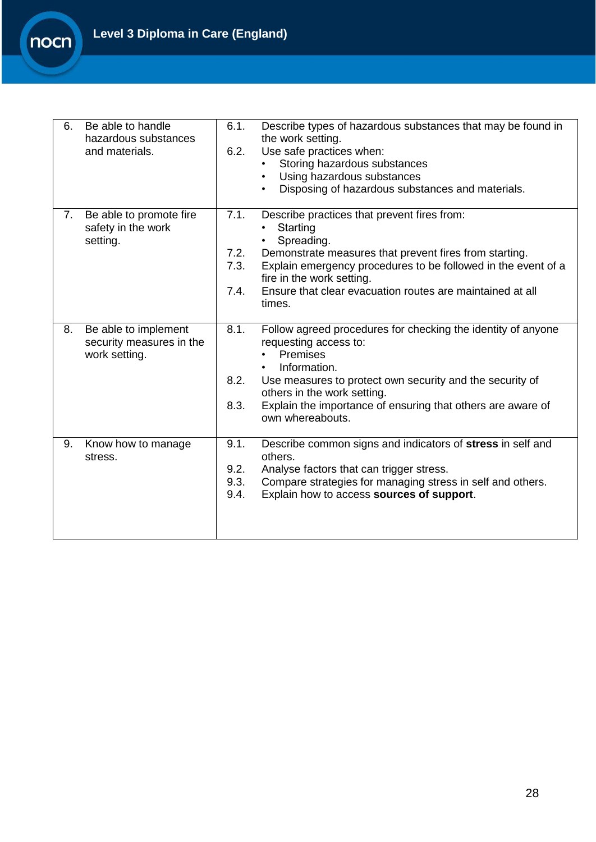

| 6. | Be able to handle<br>hazardous substances<br>and materials.       | 6.1.<br>6.2.                 | Describe types of hazardous substances that may be found in<br>the work setting.<br>Use safe practices when:<br>Storing hazardous substances<br>Using hazardous substances<br>$\bullet$<br>Disposing of hazardous substances and materials.<br>$\bullet$                                             |
|----|-------------------------------------------------------------------|------------------------------|------------------------------------------------------------------------------------------------------------------------------------------------------------------------------------------------------------------------------------------------------------------------------------------------------|
| 7. | Be able to promote fire<br>safety in the work<br>setting.         | 7.1.<br>7.2.<br>7.3.<br>7.4. | Describe practices that prevent fires from:<br>Starting<br>Spreading.<br>Demonstrate measures that prevent fires from starting.<br>Explain emergency procedures to be followed in the event of a<br>fire in the work setting.<br>Ensure that clear evacuation routes are maintained at all<br>times. |
| 8. | Be able to implement<br>security measures in the<br>work setting. | 8.1.<br>8.2.<br>8.3.         | Follow agreed procedures for checking the identity of anyone<br>requesting access to:<br>Premises<br>Information.<br>Use measures to protect own security and the security of<br>others in the work setting.<br>Explain the importance of ensuring that others are aware of<br>own whereabouts.      |
| 9. | Know how to manage<br>stress.                                     | 9.1.<br>9.2.<br>9.3.<br>9.4. | Describe common signs and indicators of stress in self and<br>others.<br>Analyse factors that can trigger stress.<br>Compare strategies for managing stress in self and others.<br>Explain how to access sources of support.                                                                         |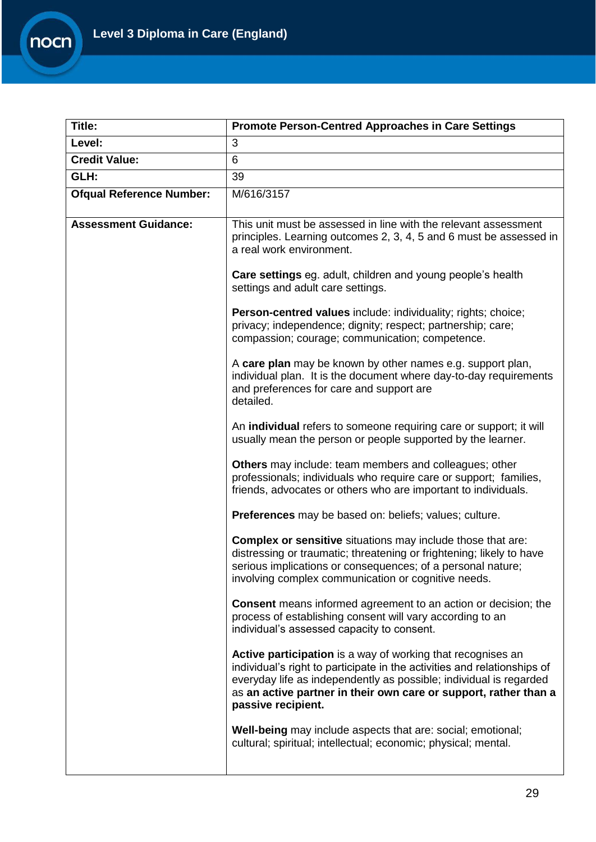

| Title:                          | <b>Promote Person-Centred Approaches in Care Settings</b>                                                                                                                                                                                                                                               |  |
|---------------------------------|---------------------------------------------------------------------------------------------------------------------------------------------------------------------------------------------------------------------------------------------------------------------------------------------------------|--|
| Level:                          | 3                                                                                                                                                                                                                                                                                                       |  |
| <b>Credit Value:</b>            | 6                                                                                                                                                                                                                                                                                                       |  |
| GLH:                            | 39                                                                                                                                                                                                                                                                                                      |  |
| <b>Ofqual Reference Number:</b> | M/616/3157                                                                                                                                                                                                                                                                                              |  |
| <b>Assessment Guidance:</b>     | This unit must be assessed in line with the relevant assessment<br>principles. Learning outcomes 2, 3, 4, 5 and 6 must be assessed in<br>a real work environment.                                                                                                                                       |  |
|                                 | <b>Care settings</b> eg. adult, children and young people's health<br>settings and adult care settings.                                                                                                                                                                                                 |  |
|                                 | Person-centred values include: individuality; rights; choice;<br>privacy; independence; dignity; respect; partnership; care;<br>compassion; courage; communication; competence.                                                                                                                         |  |
|                                 | A care plan may be known by other names e.g. support plan,<br>individual plan. It is the document where day-to-day requirements<br>and preferences for care and support are<br>detailed.                                                                                                                |  |
|                                 | An individual refers to someone requiring care or support; it will<br>usually mean the person or people supported by the learner.                                                                                                                                                                       |  |
|                                 | Others may include: team members and colleagues; other<br>professionals; individuals who require care or support; families,<br>friends, advocates or others who are important to individuals.                                                                                                           |  |
|                                 | Preferences may be based on: beliefs; values; culture.                                                                                                                                                                                                                                                  |  |
|                                 | <b>Complex or sensitive</b> situations may include those that are:<br>distressing or traumatic; threatening or frightening; likely to have<br>serious implications or consequences; of a personal nature;<br>involving complex communication or cognitive needs.                                        |  |
|                                 | <b>Consent</b> means informed agreement to an action or decision; the<br>process of establishing consent will vary according to an<br>individual's assessed capacity to consent.                                                                                                                        |  |
|                                 | Active participation is a way of working that recognises an<br>individual's right to participate in the activities and relationships of<br>everyday life as independently as possible; individual is regarded<br>as an active partner in their own care or support, rather than a<br>passive recipient. |  |
|                                 | Well-being may include aspects that are: social; emotional;<br>cultural; spiritual; intellectual; economic; physical; mental.                                                                                                                                                                           |  |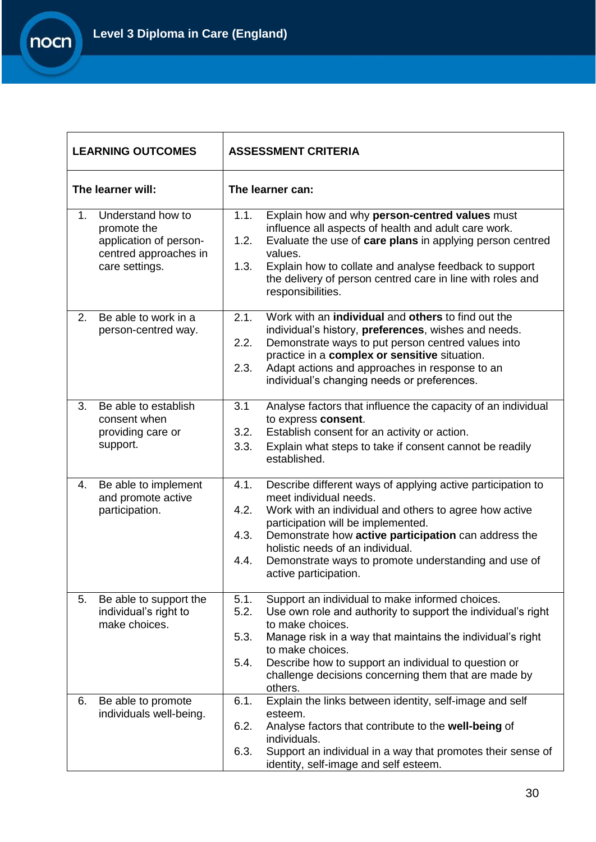

 $\mathbf{r}$ 

| <b>LEARNING OUTCOMES</b> |                                                                                                       | <b>ASSESSMENT CRITERIA</b>                                                                                                                                                                                                                                                                                                                                                                         |  |  |
|--------------------------|-------------------------------------------------------------------------------------------------------|----------------------------------------------------------------------------------------------------------------------------------------------------------------------------------------------------------------------------------------------------------------------------------------------------------------------------------------------------------------------------------------------------|--|--|
|                          | The learner will:                                                                                     | The learner can:                                                                                                                                                                                                                                                                                                                                                                                   |  |  |
| $1_{-}$                  | Understand how to<br>promote the<br>application of person-<br>centred approaches in<br>care settings. | 1.1.<br>Explain how and why person-centred values must<br>influence all aspects of health and adult care work.<br>1.2.<br>Evaluate the use of care plans in applying person centred<br>values.<br>1.3.<br>Explain how to collate and analyse feedback to support<br>the delivery of person centred care in line with roles and<br>responsibilities.                                                |  |  |
| 2.                       | Be able to work in a<br>person-centred way.                                                           | Work with an <b>individual</b> and <b>others</b> to find out the<br>2.1.<br>individual's history, preferences, wishes and needs.<br>2.2.<br>Demonstrate ways to put person centred values into<br>practice in a complex or sensitive situation.<br>2.3.<br>Adapt actions and approaches in response to an<br>individual's changing needs or preferences.                                           |  |  |
| 3.                       | Be able to establish<br>consent when<br>providing care or<br>support.                                 | 3.1<br>Analyse factors that influence the capacity of an individual<br>to express consent.<br>Establish consent for an activity or action.<br>3.2.<br>3.3.<br>Explain what steps to take if consent cannot be readily<br>established.                                                                                                                                                              |  |  |
| 4.                       | Be able to implement<br>and promote active<br>participation.                                          | 4.1.<br>Describe different ways of applying active participation to<br>meet individual needs.<br>4.2.<br>Work with an individual and others to agree how active<br>participation will be implemented.<br>4.3.<br>Demonstrate how active participation can address the<br>holistic needs of an individual.<br>4.4.<br>Demonstrate ways to promote understanding and use of<br>active participation. |  |  |
| 5.                       | Be able to support the<br>individual's right to<br>make choices.                                      | Support an individual to make informed choices.<br>5.1.<br>5.2.<br>Use own role and authority to support the individual's right<br>to make choices.<br>5.3.<br>Manage risk in a way that maintains the individual's right<br>to make choices.<br>5.4.<br>Describe how to support an individual to question or<br>challenge decisions concerning them that are made by<br>others.                   |  |  |
| 6.                       | Be able to promote<br>individuals well-being.                                                         | Explain the links between identity, self-image and self<br>6.1.<br>esteem.<br>Analyse factors that contribute to the well-being of<br>6.2.<br>individuals.<br>6.3.<br>Support an individual in a way that promotes their sense of<br>identity, self-image and self esteem.                                                                                                                         |  |  |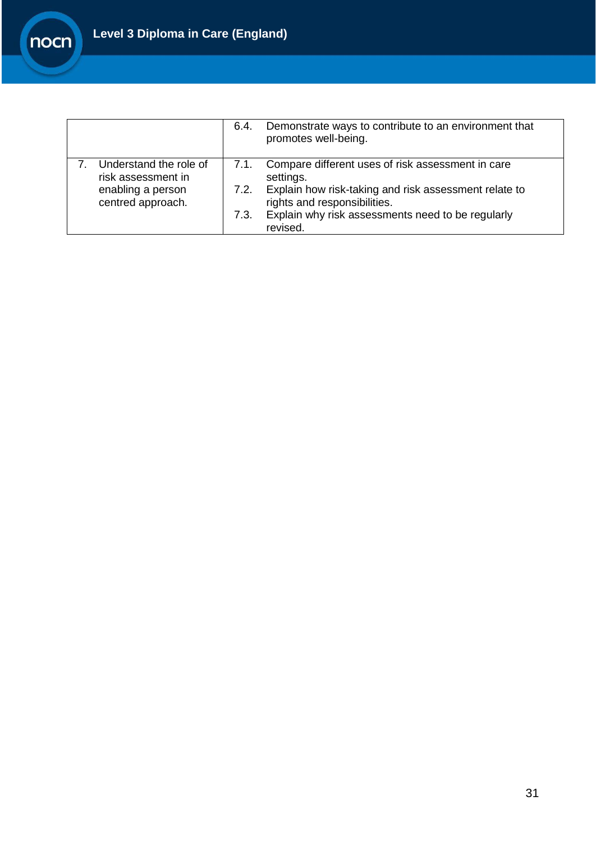

|                                              | 6.4. | Demonstrate ways to contribute to an environment that<br>promotes well-being.         |
|----------------------------------------------|------|---------------------------------------------------------------------------------------|
| Understand the role of<br>risk assessment in | 7.1. | Compare different uses of risk assessment in care<br>settings.                        |
| enabling a person<br>centred approach.       | 7.2. | Explain how risk-taking and risk assessment relate to<br>rights and responsibilities. |
|                                              | 7.3. | Explain why risk assessments need to be regularly<br>revised.                         |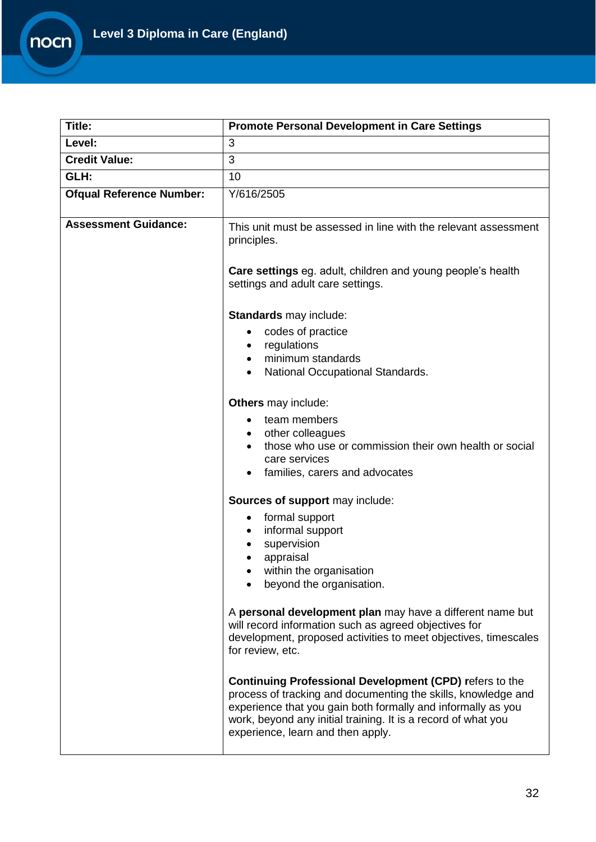

| <b>Title:</b>                   | <b>Promote Personal Development in Care Settings</b>                                                                                                                                                                                                                                                  |  |
|---------------------------------|-------------------------------------------------------------------------------------------------------------------------------------------------------------------------------------------------------------------------------------------------------------------------------------------------------|--|
| Level:                          | 3                                                                                                                                                                                                                                                                                                     |  |
| <b>Credit Value:</b>            | 3                                                                                                                                                                                                                                                                                                     |  |
| GLH:                            | 10                                                                                                                                                                                                                                                                                                    |  |
| <b>Ofqual Reference Number:</b> | Y/616/2505                                                                                                                                                                                                                                                                                            |  |
| <b>Assessment Guidance:</b>     | This unit must be assessed in line with the relevant assessment<br>principles.                                                                                                                                                                                                                        |  |
|                                 | <b>Care settings</b> eg. adult, children and young people's health<br>settings and adult care settings.                                                                                                                                                                                               |  |
|                                 | Standards may include:                                                                                                                                                                                                                                                                                |  |
|                                 | codes of practice                                                                                                                                                                                                                                                                                     |  |
|                                 | regulations<br>$\bullet$<br>minimum standards                                                                                                                                                                                                                                                         |  |
|                                 | National Occupational Standards.                                                                                                                                                                                                                                                                      |  |
|                                 |                                                                                                                                                                                                                                                                                                       |  |
|                                 | Others may include:                                                                                                                                                                                                                                                                                   |  |
|                                 | team members                                                                                                                                                                                                                                                                                          |  |
|                                 | other colleagues                                                                                                                                                                                                                                                                                      |  |
|                                 | those who use or commission their own health or social<br>care services                                                                                                                                                                                                                               |  |
|                                 | families, carers and advocates                                                                                                                                                                                                                                                                        |  |
|                                 |                                                                                                                                                                                                                                                                                                       |  |
|                                 | Sources of support may include:                                                                                                                                                                                                                                                                       |  |
|                                 | formal support<br>$\bullet$                                                                                                                                                                                                                                                                           |  |
|                                 | informal support<br>supervision                                                                                                                                                                                                                                                                       |  |
|                                 | appraisal                                                                                                                                                                                                                                                                                             |  |
|                                 | within the organisation                                                                                                                                                                                                                                                                               |  |
|                                 | beyond the organisation.                                                                                                                                                                                                                                                                              |  |
|                                 | A personal development plan may have a different name but<br>will record information such as agreed objectives for<br>development, proposed activities to meet objectives, timescales<br>for review, etc.                                                                                             |  |
|                                 | <b>Continuing Professional Development (CPD) refers to the</b><br>process of tracking and documenting the skills, knowledge and<br>experience that you gain both formally and informally as you<br>work, beyond any initial training. It is a record of what you<br>experience, learn and then apply. |  |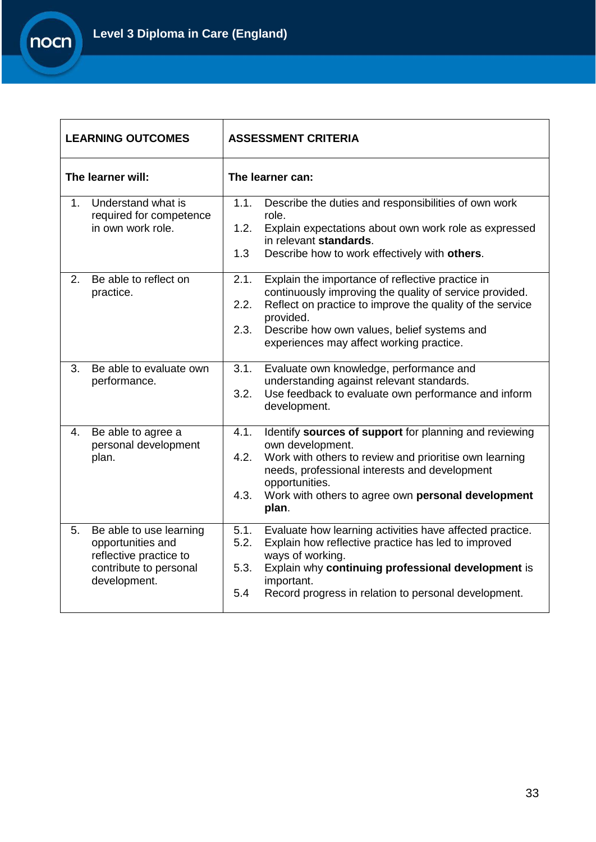

| <b>LEARNING OUTCOMES</b> |                                                                                                                  | <b>ASSESSMENT CRITERIA</b>                                                                                                                                                                                                                                                                               |
|--------------------------|------------------------------------------------------------------------------------------------------------------|----------------------------------------------------------------------------------------------------------------------------------------------------------------------------------------------------------------------------------------------------------------------------------------------------------|
| The learner will:        |                                                                                                                  | The learner can:                                                                                                                                                                                                                                                                                         |
| $1_{-}$                  | Understand what is<br>required for competence<br>in own work role.                                               | 1.1.<br>Describe the duties and responsibilities of own work<br>role.<br>1.2.<br>Explain expectations about own work role as expressed<br>in relevant standards.<br>1.3<br>Describe how to work effectively with others.                                                                                 |
| 2.                       | Be able to reflect on<br>practice.                                                                               | 2.1.<br>Explain the importance of reflective practice in<br>continuously improving the quality of service provided.<br>Reflect on practice to improve the quality of the service<br>2.2.<br>provided.<br>2.3.<br>Describe how own values, belief systems and<br>experiences may affect working practice. |
| 3.                       | Be able to evaluate own<br>performance.                                                                          | Evaluate own knowledge, performance and<br>3.1.<br>understanding against relevant standards.<br>Use feedback to evaluate own performance and inform<br>3.2.<br>development.                                                                                                                              |
| 4.                       | Be able to agree a<br>personal development<br>plan.                                                              | Identify sources of support for planning and reviewing<br>4.1.<br>own development.<br>Work with others to review and prioritise own learning<br>4.2.<br>needs, professional interests and development<br>opportunities.<br>4.3.<br>Work with others to agree own personal development<br>plan.           |
| 5.                       | Be able to use learning<br>opportunities and<br>reflective practice to<br>contribute to personal<br>development. | Evaluate how learning activities have affected practice.<br>5.1.<br>5.2.<br>Explain how reflective practice has led to improved<br>ways of working.<br>Explain why continuing professional development is<br>5.3.<br>important.<br>5.4<br>Record progress in relation to personal development.           |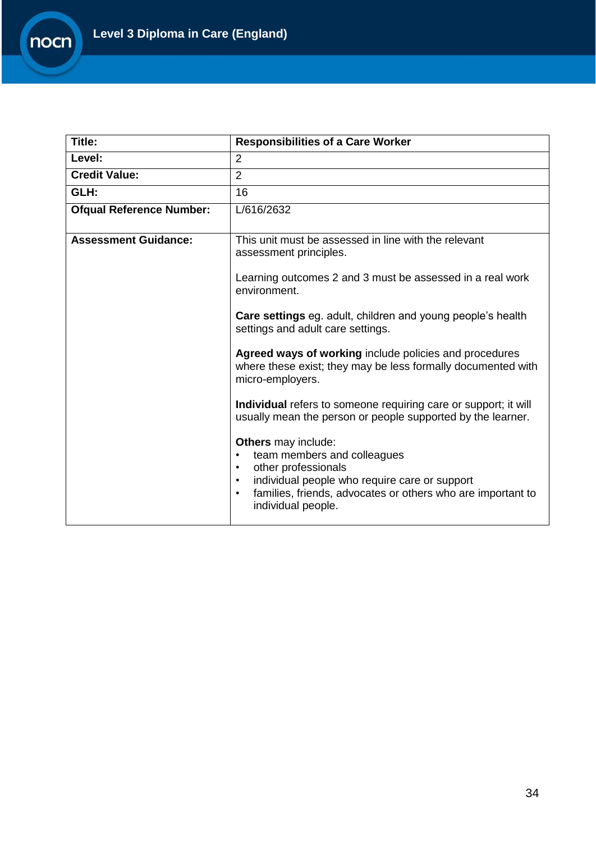

| Title:                          | <b>Responsibilities of a Care Worker</b>                                                                                                                                                                                                                                   |
|---------------------------------|----------------------------------------------------------------------------------------------------------------------------------------------------------------------------------------------------------------------------------------------------------------------------|
| Level:                          | $\overline{2}$                                                                                                                                                                                                                                                             |
| <b>Credit Value:</b>            | $\overline{2}$                                                                                                                                                                                                                                                             |
| GLH:                            | 16                                                                                                                                                                                                                                                                         |
| <b>Ofqual Reference Number:</b> | L/616/2632                                                                                                                                                                                                                                                                 |
| <b>Assessment Guidance:</b>     | This unit must be assessed in line with the relevant<br>assessment principles.                                                                                                                                                                                             |
|                                 | Learning outcomes 2 and 3 must be assessed in a real work<br>environment.                                                                                                                                                                                                  |
|                                 | <b>Care settings</b> eg. adult, children and young people's health<br>settings and adult care settings.                                                                                                                                                                    |
|                                 | Agreed ways of working include policies and procedures<br>where these exist; they may be less formally documented with<br>micro-employers.                                                                                                                                 |
|                                 | Individual refers to someone requiring care or support; it will<br>usually mean the person or people supported by the learner.                                                                                                                                             |
|                                 | <b>Others</b> may include:<br>team members and colleagues<br>$\bullet$<br>other professionals<br>$\bullet$<br>individual people who require care or support<br>$\bullet$<br>families, friends, advocates or others who are important to<br>$\bullet$<br>individual people. |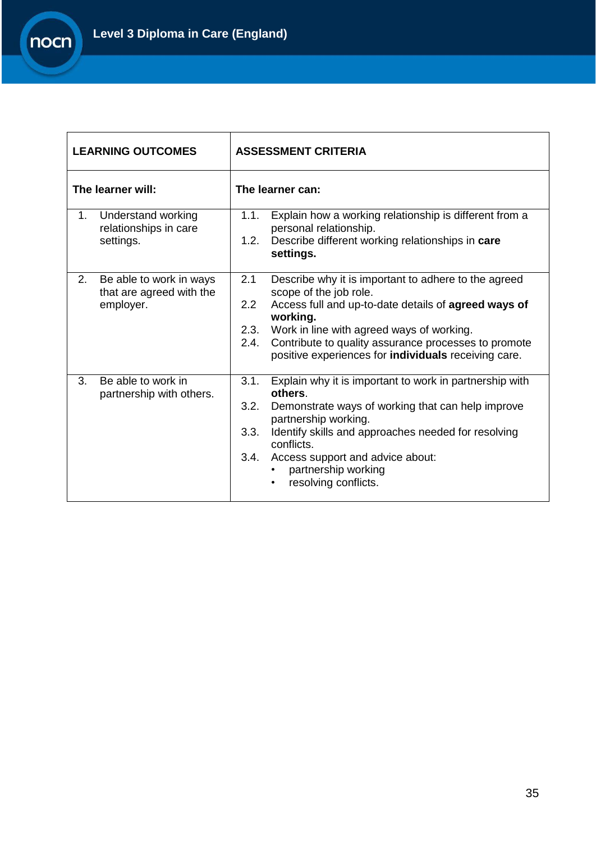

| <b>LEARNING OUTCOMES</b>                                                   | <b>ASSESSMENT CRITERIA</b>                                                                                                                                                                                                                                                                                                                    |
|----------------------------------------------------------------------------|-----------------------------------------------------------------------------------------------------------------------------------------------------------------------------------------------------------------------------------------------------------------------------------------------------------------------------------------------|
| The learner will:                                                          | The learner can:                                                                                                                                                                                                                                                                                                                              |
| Understand working<br>1 <sub>1</sub><br>relationships in care<br>settings. | Explain how a working relationship is different from a<br>1.1.<br>personal relationship.<br>Describe different working relationships in care<br>1.2.<br>settings.                                                                                                                                                                             |
| 2.<br>Be able to work in ways<br>that are agreed with the<br>employer.     | 2.1<br>Describe why it is important to adhere to the agreed<br>scope of the job role.<br>Access full and up-to-date details of agreed ways of<br>2.2<br>working.<br>Work in line with agreed ways of working.<br>2.3.<br>Contribute to quality assurance processes to promote<br>2.4.<br>positive experiences for individuals receiving care. |
| 3.<br>Be able to work in<br>partnership with others.                       | Explain why it is important to work in partnership with<br>3.1.<br>others.<br>3.2.<br>Demonstrate ways of working that can help improve<br>partnership working.<br>Identify skills and approaches needed for resolving<br>3.3.<br>conflicts.<br>Access support and advice about:<br>3.4.<br>partnership working<br>resolving conflicts.       |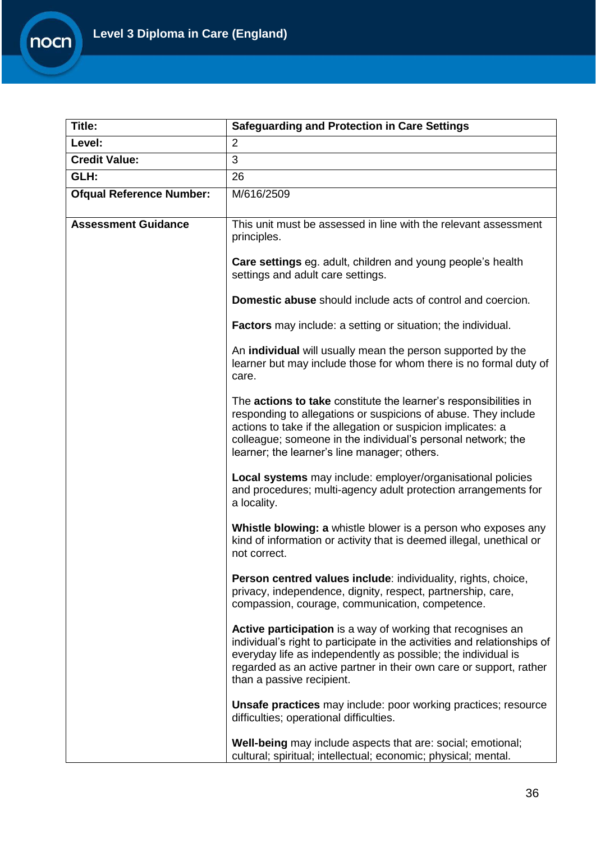

| Title:                          | <b>Safeguarding and Protection in Care Settings</b>                                                                                                                                                                                                                                                                |
|---------------------------------|--------------------------------------------------------------------------------------------------------------------------------------------------------------------------------------------------------------------------------------------------------------------------------------------------------------------|
| Level:                          | $\overline{2}$                                                                                                                                                                                                                                                                                                     |
| <b>Credit Value:</b>            | $\overline{3}$                                                                                                                                                                                                                                                                                                     |
| GLH:                            | 26                                                                                                                                                                                                                                                                                                                 |
| <b>Ofqual Reference Number:</b> | M/616/2509                                                                                                                                                                                                                                                                                                         |
| <b>Assessment Guidance</b>      | This unit must be assessed in line with the relevant assessment<br>principles.                                                                                                                                                                                                                                     |
|                                 | Care settings eg. adult, children and young people's health<br>settings and adult care settings.                                                                                                                                                                                                                   |
|                                 | <b>Domestic abuse</b> should include acts of control and coercion.                                                                                                                                                                                                                                                 |
|                                 | <b>Factors</b> may include: a setting or situation; the individual.                                                                                                                                                                                                                                                |
|                                 | An individual will usually mean the person supported by the<br>learner but may include those for whom there is no formal duty of<br>care.                                                                                                                                                                          |
|                                 | The actions to take constitute the learner's responsibilities in<br>responding to allegations or suspicions of abuse. They include<br>actions to take if the allegation or suspicion implicates: a<br>colleague; someone in the individual's personal network; the<br>learner; the learner's line manager; others. |
|                                 | Local systems may include: employer/organisational policies<br>and procedures; multi-agency adult protection arrangements for<br>a locality.                                                                                                                                                                       |
|                                 | Whistle blowing: a whistle blower is a person who exposes any<br>kind of information or activity that is deemed illegal, unethical or<br>not correct.                                                                                                                                                              |
|                                 | Person centred values include: individuality, rights, choice,<br>privacy, independence, dignity, respect, partnership, care,<br>compassion, courage, communication, competence.                                                                                                                                    |
|                                 | Active participation is a way of working that recognises an<br>individual's right to participate in the activities and relationships of<br>everyday life as independently as possible; the individual is<br>regarded as an active partner in their own care or support, rather<br>than a passive recipient.        |
|                                 | <b>Unsafe practices</b> may include: poor working practices; resource<br>difficulties; operational difficulties.                                                                                                                                                                                                   |
|                                 | Well-being may include aspects that are: social; emotional;<br>cultural; spiritual; intellectual; economic; physical; mental.                                                                                                                                                                                      |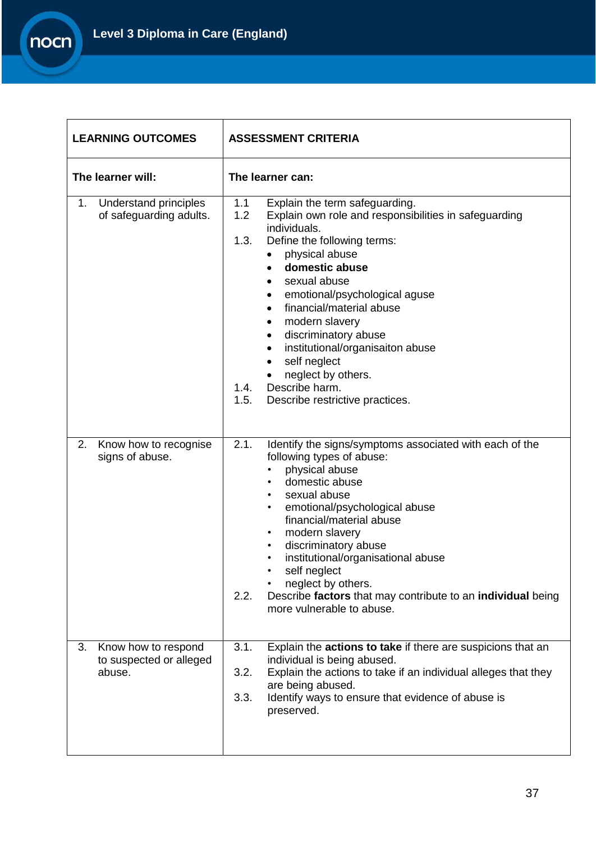

| <b>LEARNING OUTCOMES</b>                                       | <b>ASSESSMENT CRITERIA</b>                                                                                                                                                                                                                                                                                                                                                                                                                                                         |  |
|----------------------------------------------------------------|------------------------------------------------------------------------------------------------------------------------------------------------------------------------------------------------------------------------------------------------------------------------------------------------------------------------------------------------------------------------------------------------------------------------------------------------------------------------------------|--|
| The learner will:                                              | The learner can:                                                                                                                                                                                                                                                                                                                                                                                                                                                                   |  |
| Understand principles<br>1.<br>of safeguarding adults.         | Explain the term safeguarding.<br>1.1<br>1.2<br>Explain own role and responsibilities in safeguarding<br>individuals.<br>1.3.<br>Define the following terms:<br>physical abuse<br>domestic abuse<br>sexual abuse<br>emotional/psychological aguse<br>financial/material abuse<br>modern slavery<br>discriminatory abuse<br>٠<br>institutional/organisaiton abuse<br>٠<br>self neglect<br>٠<br>neglect by others.<br>1.4. Describe harm.<br>Describe restrictive practices.<br>1.5. |  |
| 2.<br>Know how to recognise<br>signs of abuse.                 | 2.1.<br>Identify the signs/symptoms associated with each of the<br>following types of abuse:<br>physical abuse<br>domestic abuse<br>sexual abuse<br>emotional/psychological abuse<br>$\bullet$<br>financial/material abuse<br>modern slavery<br>$\bullet$<br>discriminatory abuse<br>$\bullet$<br>institutional/organisational abuse<br>self neglect<br>neglect by others.<br>Describe factors that may contribute to an individual being<br>2.2.<br>more vulnerable to abuse.     |  |
| 3.<br>Know how to respond<br>to suspected or alleged<br>abuse. | Explain the <b>actions to take</b> if there are suspicions that an<br>3.1.<br>individual is being abused.<br>3.2.<br>Explain the actions to take if an individual alleges that they<br>are being abused.<br>Identify ways to ensure that evidence of abuse is<br>3.3.<br>preserved.                                                                                                                                                                                                |  |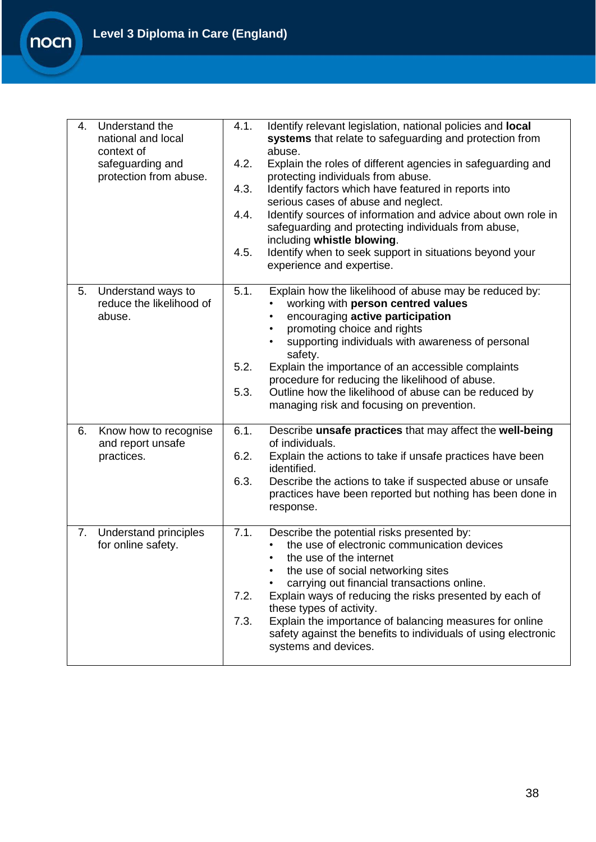**Level 3 Diploma in Care (England)**

nocn

| Understand the<br>4.<br>national and local<br>context of<br>safeguarding and<br>protection from abuse. | Identify relevant legislation, national policies and <b>local</b><br>4.1.<br>systems that relate to safeguarding and protection from<br>abuse.<br>4.2.<br>Explain the roles of different agencies in safeguarding and<br>protecting individuals from abuse.<br>Identify factors which have featured in reports into<br>4.3.<br>serious cases of abuse and neglect.<br>Identify sources of information and advice about own role in<br>4.4.<br>safeguarding and protecting individuals from abuse,<br>including whistle blowing.<br>Identify when to seek support in situations beyond your<br>4.5.<br>experience and expertise. |
|--------------------------------------------------------------------------------------------------------|---------------------------------------------------------------------------------------------------------------------------------------------------------------------------------------------------------------------------------------------------------------------------------------------------------------------------------------------------------------------------------------------------------------------------------------------------------------------------------------------------------------------------------------------------------------------------------------------------------------------------------|
| Understand ways to<br>5.<br>reduce the likelihood of<br>abuse.                                         | 5.1.<br>Explain how the likelihood of abuse may be reduced by:<br>working with person centred values<br>encouraging active participation<br>promoting choice and rights<br>supporting individuals with awareness of personal<br>safety.<br>5.2.<br>Explain the importance of an accessible complaints<br>procedure for reducing the likelihood of abuse.<br>5.3.<br>Outline how the likelihood of abuse can be reduced by<br>managing risk and focusing on prevention.                                                                                                                                                          |
| 6.<br>Know how to recognise<br>and report unsafe<br>practices.                                         | Describe unsafe practices that may affect the well-being<br>6.1.<br>of individuals.<br>6.2.<br>Explain the actions to take if unsafe practices have been<br>identified.<br>6.3.<br>Describe the actions to take if suspected abuse or unsafe<br>practices have been reported but nothing has been done in<br>response.                                                                                                                                                                                                                                                                                                          |
| 7. Understand principles<br>for online safety.                                                         | 7.1.<br>Describe the potential risks presented by:<br>the use of electronic communication devices<br>the use of the internet<br>the use of social networking sites<br>carrying out financial transactions online.<br>Explain ways of reducing the risks presented by each of<br>7.2.<br>these types of activity.<br>Explain the importance of balancing measures for online<br>7.3.<br>safety against the benefits to individuals of using electronic<br>systems and devices.                                                                                                                                                   |